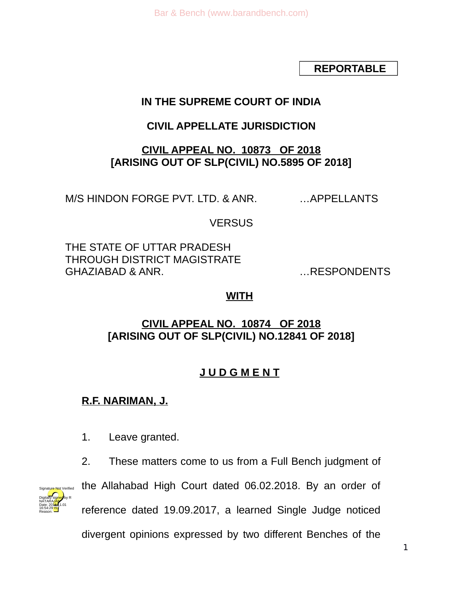**REPORTABLE**

# **IN THE SUPREME COURT OF INDIA**

# **CIVIL APPELLATE JURISDICTION**

## **CIVIL APPEAL NO. 10873 OF 2018 [ARISING OUT OF SLP(CIVIL) NO.5895 OF 2018]**

M/S HINDON FORGE PVT. LTD. & ANR. …APPELLANTS

VERSUS

THE STATE OF UTTAR PRADESH THROUGH DISTRICT MAGISTRATE GHAZIABAD & ANR. …RESPONDENTS

# **WITH**

# **CIVIL APPEAL NO. 10874 OF 2018 [ARISING OUT OF SLP(CIVIL) NO.12841 OF 2018]**

# **J U D G M E N T**

# **R.F. NARIMAN, J.**

- 1. Leave granted.
- 2. These matters come to us from a Full Bench judgment of



the Allahabad High Court dated 06.02.2018. By an order of reference dated 19.09.2017, a learned Single Judge noticed divergent opinions expressed by two different Benches of the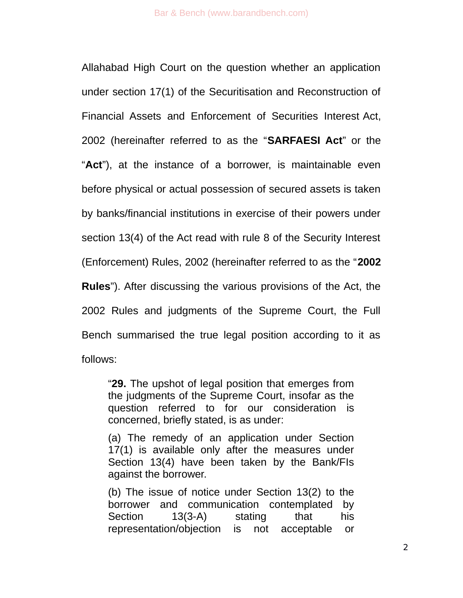Allahabad High Court on the question whether an application under section 17(1) of the Securitisation and Reconstruction of Financial Assets and Enforcement of Securities Interest Act, 2002 (hereinafter referred to as the "**SARFAESI Act**" or the "**Act**"), at the instance of a borrower, is maintainable even before physical or actual possession of secured assets is taken by banks/financial institutions in exercise of their powers under section 13(4) of the Act read with rule 8 of the Security Interest (Enforcement) Rules, 2002 (hereinafter referred to as the "**2002 Rules**"). After discussing the various provisions of the Act, the 2002 Rules and judgments of the Supreme Court, the Full Bench summarised the true legal position according to it as follows:

"**29.** The upshot of legal position that emerges from the judgments of the Supreme Court, insofar as the question referred to for our consideration is concerned, briefly stated, is as under:

(a) The remedy of an application under Section 17(1) is available only after the measures under Section 13(4) have been taken by the Bank/FIs against the borrower.

(b) The issue of notice under Section 13(2) to the borrower and communication contemplated by Section 13(3-A) stating that his representation/objection is not acceptable or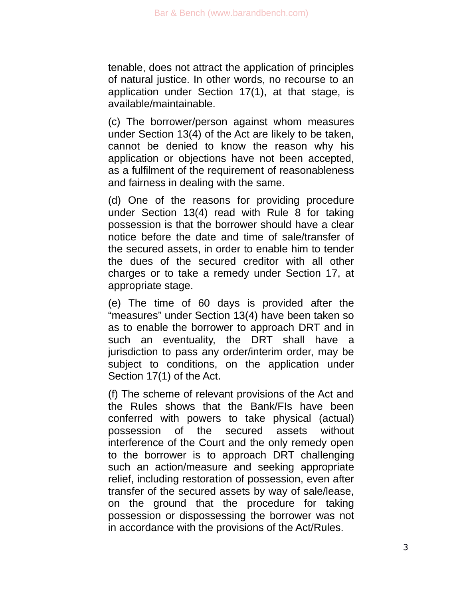tenable, does not attract the application of principles of natural justice. In other words, no recourse to an application under Section 17(1), at that stage, is available/maintainable.

(c) The borrower/person against whom measures under Section 13(4) of the Act are likely to be taken, cannot be denied to know the reason why his application or objections have not been accepted, as a fulfilment of the requirement of reasonableness and fairness in dealing with the same.

(d) One of the reasons for providing procedure under Section 13(4) read with Rule 8 for taking possession is that the borrower should have a clear notice before the date and time of sale/transfer of the secured assets, in order to enable him to tender the dues of the secured creditor with all other charges or to take a remedy under Section 17, at appropriate stage.

(e) The time of 60 days is provided after the "measures" under Section 13(4) have been taken so as to enable the borrower to approach DRT and in such an eventuality, the DRT shall have a jurisdiction to pass any order/interim order, may be subject to conditions, on the application under Section 17(1) of the Act.

(f) The scheme of relevant provisions of the Act and the Rules shows that the Bank/FIs have been conferred with powers to take physical (actual) possession of the secured assets without interference of the Court and the only remedy open to the borrower is to approach DRT challenging such an action/measure and seeking appropriate relief, including restoration of possession, even after transfer of the secured assets by way of sale/lease, on the ground that the procedure for taking possession or dispossessing the borrower was not in accordance with the provisions of the Act/Rules.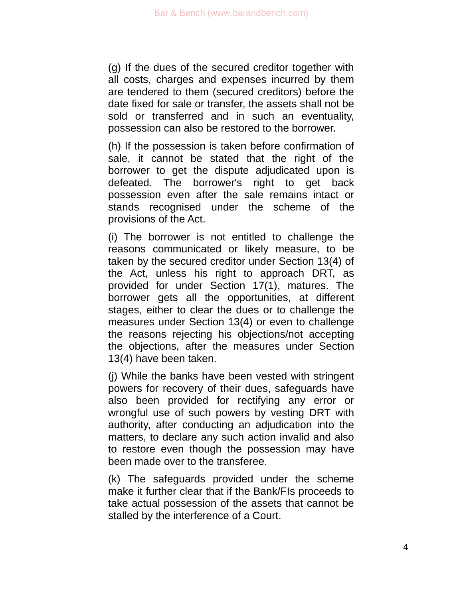(g) If the dues of the secured creditor together with all costs, charges and expenses incurred by them are tendered to them (secured creditors) before the date fixed for sale or transfer, the assets shall not be sold or transferred and in such an eventuality, possession can also be restored to the borrower.

(h) If the possession is taken before confirmation of sale, it cannot be stated that the right of the borrower to get the dispute adjudicated upon is defeated. The borrower's right to get back possession even after the sale remains intact or stands recognised under the scheme of the provisions of the Act.

(i) The borrower is not entitled to challenge the reasons communicated or likely measure, to be taken by the secured creditor under Section 13(4) of the Act, unless his right to approach DRT, as provided for under Section 17(1), matures. The borrower gets all the opportunities, at different stages, either to clear the dues or to challenge the measures under Section 13(4) or even to challenge the reasons rejecting his objections/not accepting the objections, after the measures under Section 13(4) have been taken.

(j) While the banks have been vested with stringent powers for recovery of their dues, safeguards have also been provided for rectifying any error or wrongful use of such powers by vesting DRT with authority, after conducting an adjudication into the matters, to declare any such action invalid and also to restore even though the possession may have been made over to the transferee.

(k) The safeguards provided under the scheme make it further clear that if the Bank/FIs proceeds to take actual possession of the assets that cannot be stalled by the interference of a Court.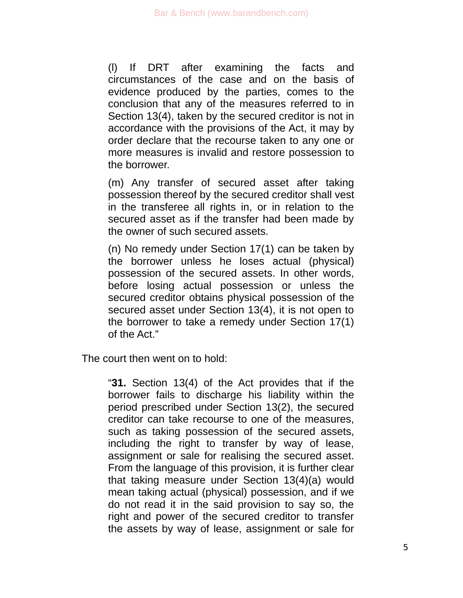(l) If DRT after examining the facts and circumstances of the case and on the basis of evidence produced by the parties, comes to the conclusion that any of the measures referred to in Section 13(4), taken by the secured creditor is not in accordance with the provisions of the Act, it may by order declare that the recourse taken to any one or more measures is invalid and restore possession to the borrower.

(m) Any transfer of secured asset after taking possession thereof by the secured creditor shall vest in the transferee all rights in, or in relation to the secured asset as if the transfer had been made by the owner of such secured assets.

(n) No remedy under Section 17(1) can be taken by the borrower unless he loses actual (physical) possession of the secured assets. In other words, before losing actual possession or unless the secured creditor obtains physical possession of the secured asset under Section 13(4), it is not open to the borrower to take a remedy under Section 17(1) of the Act."

The court then went on to hold:

"**31.** Section 13(4) of the Act provides that if the borrower fails to discharge his liability within the period prescribed under Section 13(2), the secured creditor can take recourse to one of the measures, such as taking possession of the secured assets, including the right to transfer by way of lease, assignment or sale for realising the secured asset. From the language of this provision, it is further clear that taking measure under Section 13(4)(a) would mean taking actual (physical) possession, and if we do not read it in the said provision to say so, the right and power of the secured creditor to transfer the assets by way of lease, assignment or sale for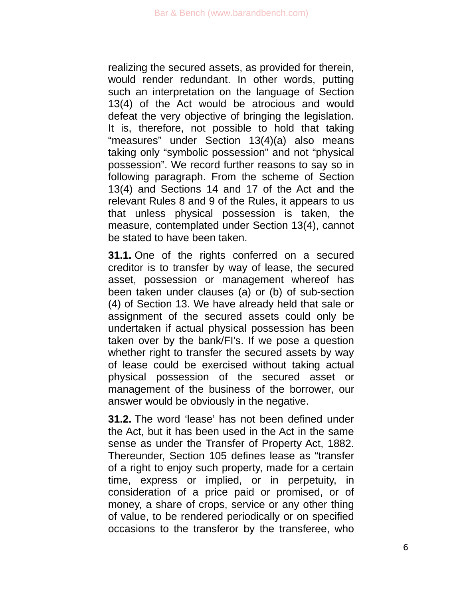realizing the secured assets, as provided for therein, would render redundant. In other words, putting such an interpretation on the language of Section 13(4) of the Act would be atrocious and would defeat the very objective of bringing the legislation. It is, therefore, not possible to hold that taking "measures" under Section 13(4)(a) also means taking only "symbolic possession" and not "physical possession". We record further reasons to say so in following paragraph. From the scheme of Section 13(4) and Sections 14 and 17 of the Act and the relevant Rules 8 and 9 of the Rules, it appears to us that unless physical possession is taken, the measure, contemplated under Section 13(4), cannot be stated to have been taken.

**31.1.** One of the rights conferred on a secured creditor is to transfer by way of lease, the secured asset, possession or management whereof has been taken under clauses (a) or (b) of sub-section (4) of Section 13. We have already held that sale or assignment of the secured assets could only be undertaken if actual physical possession has been taken over by the bank/FI's. If we pose a question whether right to transfer the secured assets by way of lease could be exercised without taking actual physical possession of the secured asset or management of the business of the borrower, our answer would be obviously in the negative.

**31.2.** The word 'lease' has not been defined under the Act, but it has been used in the Act in the same sense as under the Transfer of Property Act, 1882. Thereunder, Section 105 defines lease as "transfer of a right to enjoy such property, made for a certain time, express or implied, or in perpetuity, in consideration of a price paid or promised, or of money, a share of crops, service or any other thing of value, to be rendered periodically or on specified occasions to the transferor by the transferee, who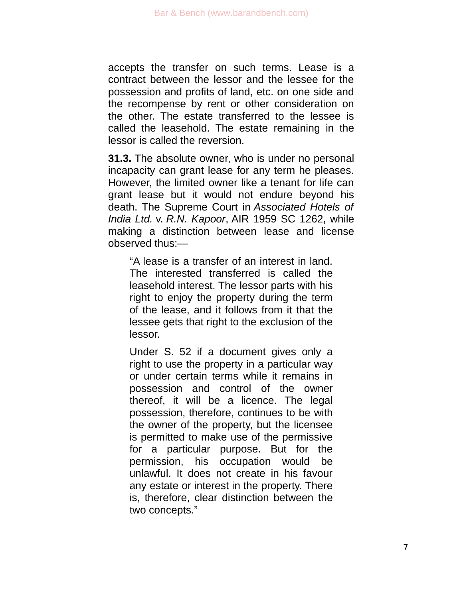accepts the transfer on such terms. Lease is a contract between the lessor and the lessee for the possession and profits of land, etc. on one side and the recompense by rent or other consideration on the other. The estate transferred to the lessee is called the leasehold. The estate remaining in the lessor is called the reversion.

**31.3.** The absolute owner, who is under no personal incapacity can grant lease for any term he pleases. However, the limited owner like a tenant for life can grant lease but it would not endure beyond his death. The Supreme Court in *Associated Hotels of India Ltd.* v. *R.N. Kapoor*, AIR 1959 SC 1262, while making a distinction between lease and license observed thus:—

"A lease is a transfer of an interest in land. The interested transferred is called the leasehold interest. The lessor parts with his right to enjoy the property during the term of the lease, and it follows from it that the lessee gets that right to the exclusion of the lessor.

Under S. 52 if a document gives only a right to use the property in a particular way or under certain terms while it remains in possession and control of the owner thereof, it will be a licence. The legal possession, therefore, continues to be with the owner of the property, but the licensee is permitted to make use of the permissive for a particular purpose. But for the permission, his occupation would be unlawful. It does not create in his favour any estate or interest in the property. There is, therefore, clear distinction between the two concepts."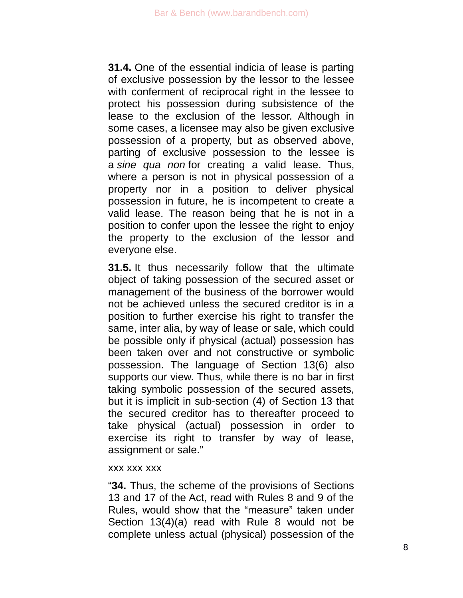**31.4.** One of the essential indicia of lease is parting of exclusive possession by the lessor to the lessee with conferment of reciprocal right in the lessee to protect his possession during subsistence of the lease to the exclusion of the lessor. Although in some cases, a licensee may also be given exclusive possession of a property, but as observed above, parting of exclusive possession to the lessee is a *sine qua non* for creating a valid lease. Thus, where a person is not in physical possession of a property nor in a position to deliver physical possession in future, he is incompetent to create a valid lease. The reason being that he is not in a position to confer upon the lessee the right to enjoy the property to the exclusion of the lessor and everyone else.

**31.5.** It thus necessarily follow that the ultimate object of taking possession of the secured asset or management of the business of the borrower would not be achieved unless the secured creditor is in a position to further exercise his right to transfer the same, inter alia, by way of lease or sale, which could be possible only if physical (actual) possession has been taken over and not constructive or symbolic possession. The language of Section 13(6) also supports our view. Thus, while there is no bar in first taking symbolic possession of the secured assets, but it is implicit in sub-section (4) of Section 13 that the secured creditor has to thereafter proceed to take physical (actual) possession in order to exercise its right to transfer by way of lease, assignment or sale."

#### xxx xxx xxx

"**34.** Thus, the scheme of the provisions of Sections 13 and 17 of the Act, read with Rules 8 and 9 of the Rules, would show that the "measure" taken under Section 13(4)(a) read with Rule 8 would not be complete unless actual (physical) possession of the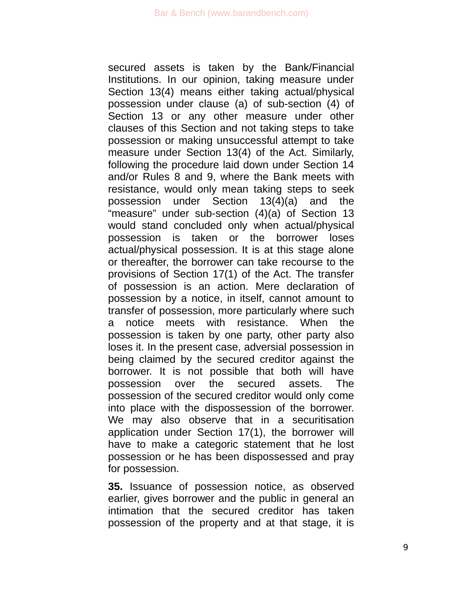secured assets is taken by the Bank/Financial Institutions. In our opinion, taking measure under Section 13(4) means either taking actual/physical possession under clause (a) of sub-section (4) of Section 13 or any other measure under other clauses of this Section and not taking steps to take possession or making unsuccessful attempt to take measure under Section 13(4) of the Act. Similarly, following the procedure laid down under Section 14 and/or Rules 8 and 9, where the Bank meets with resistance, would only mean taking steps to seek possession under Section 13(4)(a) and the "measure" under sub-section (4)(a) of Section 13 would stand concluded only when actual/physical possession is taken or the borrower loses actual/physical possession. It is at this stage alone or thereafter, the borrower can take recourse to the provisions of Section 17(1) of the Act. The transfer of possession is an action. Mere declaration of possession by a notice, in itself, cannot amount to transfer of possession, more particularly where such a notice meets with resistance. When the possession is taken by one party, other party also loses it. In the present case, adversial possession in being claimed by the secured creditor against the borrower. It is not possible that both will have possession over the secured assets. The possession of the secured creditor would only come into place with the dispossession of the borrower. We may also observe that in a securitisation application under Section 17(1), the borrower will have to make a categoric statement that he lost possession or he has been dispossessed and pray for possession.

**35.** Issuance of possession notice, as observed earlier, gives borrower and the public in general an intimation that the secured creditor has taken possession of the property and at that stage, it is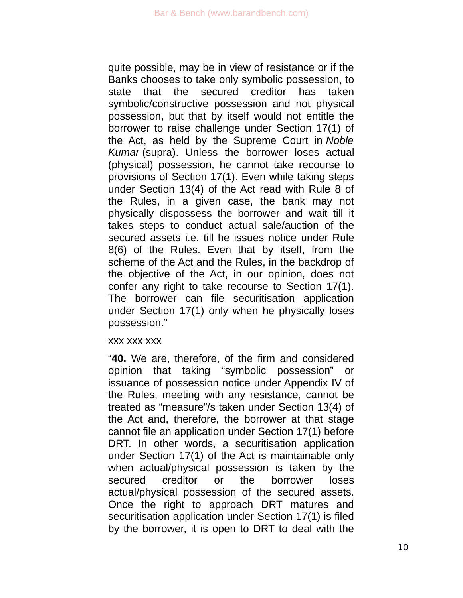quite possible, may be in view of resistance or if the Banks chooses to take only symbolic possession, to state that the secured creditor has taken symbolic/constructive possession and not physical possession, but that by itself would not entitle the borrower to raise challenge under Section 17(1) of the Act, as held by the Supreme Court in *Noble Kumar* (supra). Unless the borrower loses actual (physical) possession, he cannot take recourse to provisions of Section 17(1). Even while taking steps under Section 13(4) of the Act read with Rule 8 of the Rules, in a given case, the bank may not physically dispossess the borrower and wait till it takes steps to conduct actual sale/auction of the secured assets i.e. till he issues notice under Rule 8(6) of the Rules. Even that by itself, from the scheme of the Act and the Rules, in the backdrop of the objective of the Act, in our opinion, does not confer any right to take recourse to Section 17(1). The borrower can file securitisation application under Section 17(1) only when he physically loses possession."

#### xxx xxx xxx

"**40.** We are, therefore, of the firm and considered opinion that taking "symbolic possession" or issuance of possession notice under Appendix IV of the Rules, meeting with any resistance, cannot be treated as "measure"/s taken under Section 13(4) of the Act and, therefore, the borrower at that stage cannot file an application under Section 17(1) before DRT. In other words, a securitisation application under Section 17(1) of the Act is maintainable only when actual/physical possession is taken by the secured creditor or the borrower loses actual/physical possession of the secured assets. Once the right to approach DRT matures and securitisation application under Section 17(1) is filed by the borrower, it is open to DRT to deal with the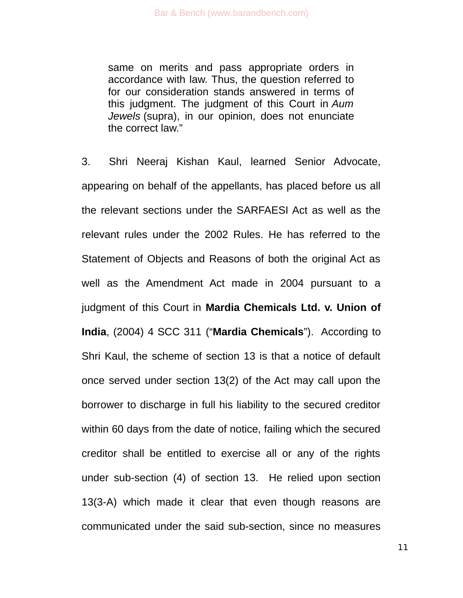same on merits and pass appropriate orders in accordance with law. Thus, the question referred to for our consideration stands answered in terms of this judgment. The judgment of this Court in *Aum Jewels* (supra), in our opinion, does not enunciate the correct law."

3. Shri Neeraj Kishan Kaul, learned Senior Advocate, appearing on behalf of the appellants, has placed before us all the relevant sections under the SARFAESI Act as well as the relevant rules under the 2002 Rules. He has referred to the Statement of Objects and Reasons of both the original Act as well as the Amendment Act made in 2004 pursuant to a judgment of this Court in **Mardia Chemicals Ltd. v. Union of India**, (2004) 4 SCC 311 ("**Mardia Chemicals**"). According to Shri Kaul, the scheme of section 13 is that a notice of default once served under section 13(2) of the Act may call upon the borrower to discharge in full his liability to the secured creditor within 60 days from the date of notice, failing which the secured creditor shall be entitled to exercise all or any of the rights under sub-section (4) of section 13. He relied upon section 13(3-A) which made it clear that even though reasons are communicated under the said sub-section, since no measures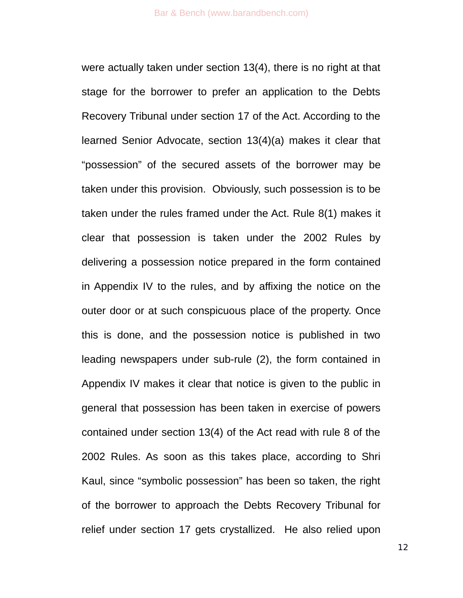were actually taken under section 13(4), there is no right at that stage for the borrower to prefer an application to the Debts Recovery Tribunal under section 17 of the Act. According to the learned Senior Advocate, section 13(4)(a) makes it clear that "possession" of the secured assets of the borrower may be taken under this provision. Obviously, such possession is to be taken under the rules framed under the Act. Rule 8(1) makes it clear that possession is taken under the 2002 Rules by delivering a possession notice prepared in the form contained in Appendix IV to the rules, and by affixing the notice on the outer door or at such conspicuous place of the property. Once this is done, and the possession notice is published in two leading newspapers under sub-rule (2), the form contained in Appendix IV makes it clear that notice is given to the public in general that possession has been taken in exercise of powers contained under section 13(4) of the Act read with rule 8 of the 2002 Rules. As soon as this takes place, according to Shri Kaul, since "symbolic possession" has been so taken, the right of the borrower to approach the Debts Recovery Tribunal for relief under section 17 gets crystallized. He also relied upon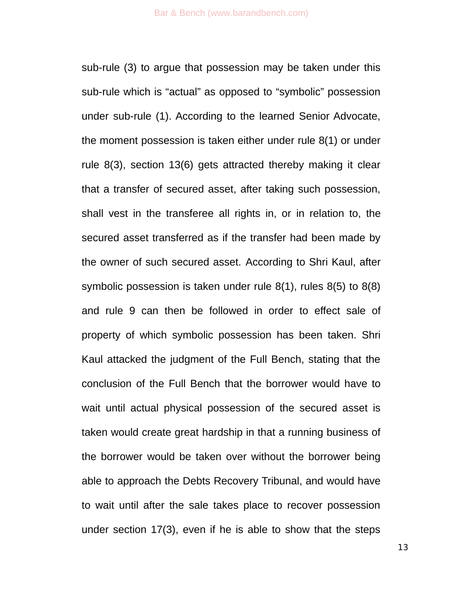sub-rule (3) to argue that possession may be taken under this sub-rule which is "actual" as opposed to "symbolic" possession under sub-rule (1). According to the learned Senior Advocate, the moment possession is taken either under rule 8(1) or under rule 8(3), section 13(6) gets attracted thereby making it clear that a transfer of secured asset, after taking such possession, shall vest in the transferee all rights in, or in relation to, the secured asset transferred as if the transfer had been made by the owner of such secured asset. According to Shri Kaul, after symbolic possession is taken under rule 8(1), rules 8(5) to 8(8) and rule 9 can then be followed in order to effect sale of property of which symbolic possession has been taken. Shri Kaul attacked the judgment of the Full Bench, stating that the conclusion of the Full Bench that the borrower would have to wait until actual physical possession of the secured asset is taken would create great hardship in that a running business of the borrower would be taken over without the borrower being able to approach the Debts Recovery Tribunal, and would have to wait until after the sale takes place to recover possession under section 17(3), even if he is able to show that the steps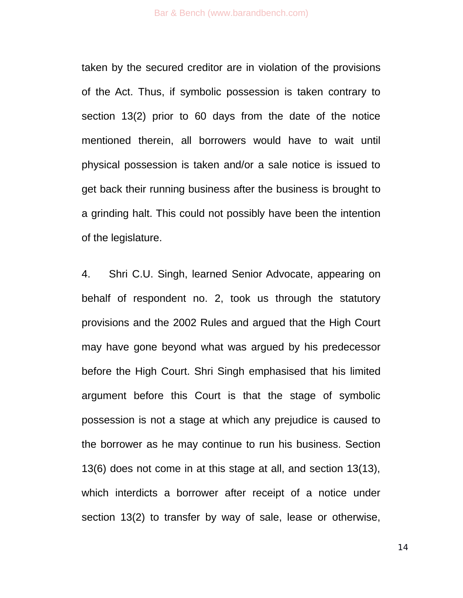taken by the secured creditor are in violation of the provisions of the Act. Thus, if symbolic possession is taken contrary to section 13(2) prior to 60 days from the date of the notice mentioned therein, all borrowers would have to wait until physical possession is taken and/or a sale notice is issued to get back their running business after the business is brought to a grinding halt. This could not possibly have been the intention of the legislature.

4. Shri C.U. Singh, learned Senior Advocate, appearing on behalf of respondent no. 2, took us through the statutory provisions and the 2002 Rules and argued that the High Court may have gone beyond what was argued by his predecessor before the High Court. Shri Singh emphasised that his limited argument before this Court is that the stage of symbolic possession is not a stage at which any prejudice is caused to the borrower as he may continue to run his business. Section 13(6) does not come in at this stage at all, and section 13(13), which interdicts a borrower after receipt of a notice under section 13(2) to transfer by way of sale, lease or otherwise,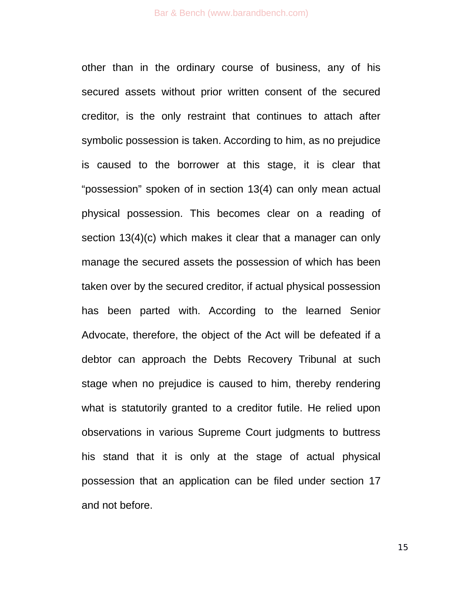other than in the ordinary course of business, any of his secured assets without prior written consent of the secured creditor, is the only restraint that continues to attach after symbolic possession is taken. According to him, as no prejudice is caused to the borrower at this stage, it is clear that "possession" spoken of in section 13(4) can only mean actual physical possession. This becomes clear on a reading of section 13(4)(c) which makes it clear that a manager can only manage the secured assets the possession of which has been taken over by the secured creditor, if actual physical possession has been parted with. According to the learned Senior Advocate, therefore, the object of the Act will be defeated if a debtor can approach the Debts Recovery Tribunal at such stage when no prejudice is caused to him, thereby rendering what is statutorily granted to a creditor futile. He relied upon observations in various Supreme Court judgments to buttress his stand that it is only at the stage of actual physical possession that an application can be filed under section 17 and not before.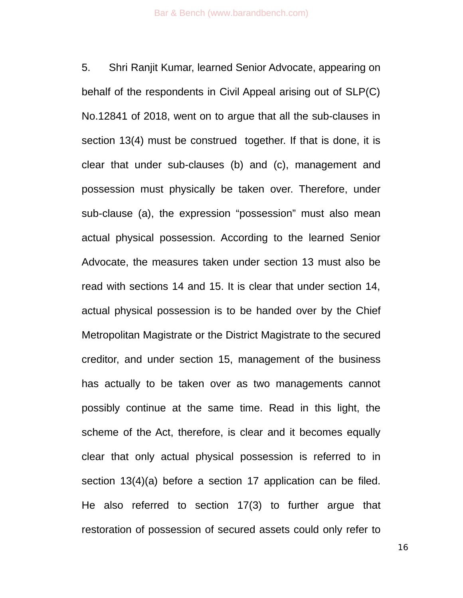5. Shri Ranjit Kumar, learned Senior Advocate, appearing on behalf of the respondents in Civil Appeal arising out of SLP(C) No.12841 of 2018, went on to argue that all the sub-clauses in section 13(4) must be construed together. If that is done, it is clear that under sub-clauses (b) and (c), management and possession must physically be taken over. Therefore, under sub-clause (a), the expression "possession" must also mean actual physical possession. According to the learned Senior Advocate, the measures taken under section 13 must also be read with sections 14 and 15. It is clear that under section 14, actual physical possession is to be handed over by the Chief Metropolitan Magistrate or the District Magistrate to the secured creditor, and under section 15, management of the business has actually to be taken over as two managements cannot possibly continue at the same time. Read in this light, the scheme of the Act, therefore, is clear and it becomes equally clear that only actual physical possession is referred to in section 13(4)(a) before a section 17 application can be filed. He also referred to section 17(3) to further argue that restoration of possession of secured assets could only refer to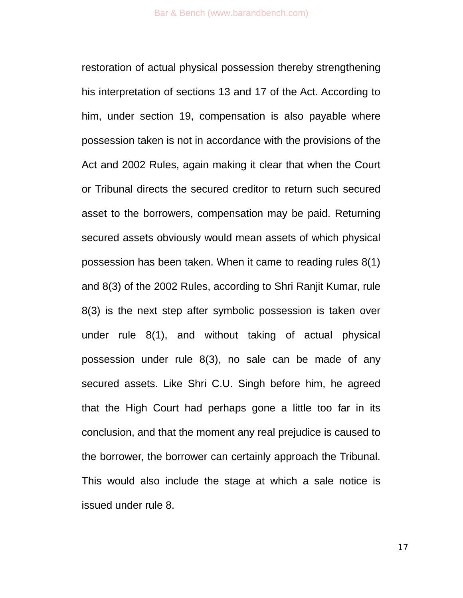restoration of actual physical possession thereby strengthening his interpretation of sections 13 and 17 of the Act. According to him, under section 19, compensation is also payable where possession taken is not in accordance with the provisions of the Act and 2002 Rules, again making it clear that when the Court or Tribunal directs the secured creditor to return such secured asset to the borrowers, compensation may be paid. Returning secured assets obviously would mean assets of which physical possession has been taken. When it came to reading rules 8(1) and 8(3) of the 2002 Rules, according to Shri Ranjit Kumar, rule 8(3) is the next step after symbolic possession is taken over under rule 8(1), and without taking of actual physical possession under rule 8(3), no sale can be made of any secured assets. Like Shri C.U. Singh before him, he agreed that the High Court had perhaps gone a little too far in its conclusion, and that the moment any real prejudice is caused to the borrower, the borrower can certainly approach the Tribunal. This would also include the stage at which a sale notice is issued under rule 8.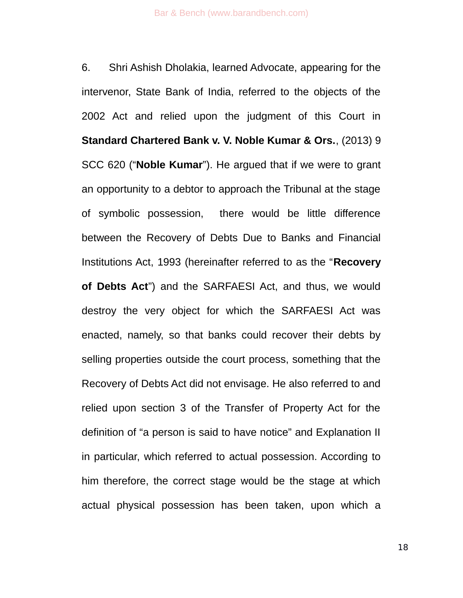6. Shri Ashish Dholakia, learned Advocate, appearing for the intervenor, State Bank of India, referred to the objects of the 2002 Act and relied upon the judgment of this Court in **Standard Chartered Bank v. V. Noble Kumar & Ors.**, (2013) 9 SCC 620 ("**Noble Kumar**"). He argued that if we were to grant an opportunity to a debtor to approach the Tribunal at the stage of symbolic possession, there would be little difference between the Recovery of Debts Due to Banks and Financial Institutions Act, 1993 (hereinafter referred to as the "**Recovery of Debts Act**") and the SARFAESI Act, and thus, we would destroy the very object for which the SARFAESI Act was enacted, namely, so that banks could recover their debts by selling properties outside the court process, something that the Recovery of Debts Act did not envisage. He also referred to and relied upon section 3 of the Transfer of Property Act for the definition of "a person is said to have notice" and Explanation II in particular, which referred to actual possession. According to him therefore, the correct stage would be the stage at which actual physical possession has been taken, upon which a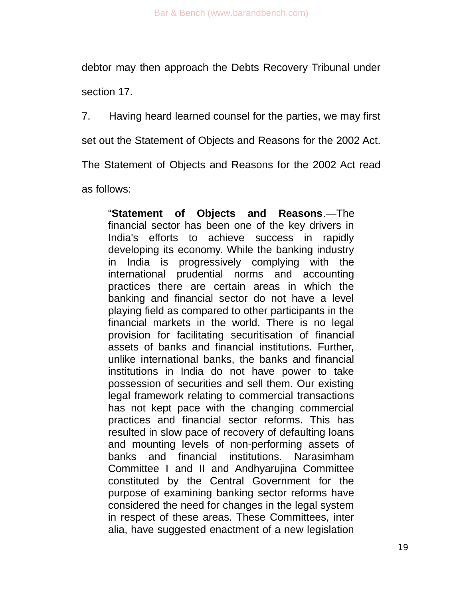debtor may then approach the Debts Recovery Tribunal under

section 17.

7. Having heard learned counsel for the parties, we may first

set out the Statement of Objects and Reasons for the 2002 Act.

The Statement of Objects and Reasons for the 2002 Act read

as follows:

"**Statement of Objects and Reasons**.—The financial sector has been one of the key drivers in India's efforts to achieve success in rapidly developing its economy. While the banking industry in India is progressively complying with the international prudential norms and accounting practices there are certain areas in which the banking and financial sector do not have a level playing field as compared to other participants in the financial markets in the world. There is no legal provision for facilitating securitisation of financial assets of banks and financial institutions. Further, unlike international banks, the banks and financial institutions in India do not have power to take possession of securities and sell them. Our existing legal framework relating to commercial transactions has not kept pace with the changing commercial practices and financial sector reforms. This has resulted in slow pace of recovery of defaulting loans and mounting levels of non-performing assets of banks and financial institutions. Narasimham Committee I and II and Andhyarujina Committee constituted by the Central Government for the purpose of examining banking sector reforms have considered the need for changes in the legal system in respect of these areas. These Committees, inter alia, have suggested enactment of a new legislation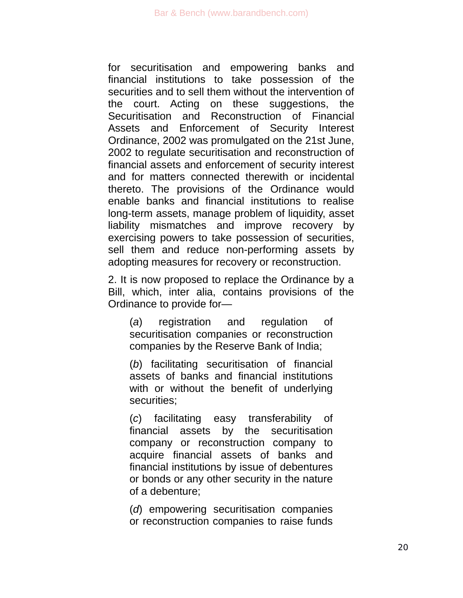for securitisation and empowering banks and financial institutions to take possession of the securities and to sell them without the intervention of the court. Acting on these suggestions, the Securitisation and Reconstruction of Financial Assets and Enforcement of Security Interest Ordinance, 2002 was promulgated on the 21st June, 2002 to regulate securitisation and reconstruction of financial assets and enforcement of security interest and for matters connected therewith or incidental thereto. The provisions of the Ordinance would enable banks and financial institutions to realise long-term assets, manage problem of liquidity, asset liability mismatches and improve recovery by exercising powers to take possession of securities, sell them and reduce non-performing assets by adopting measures for recovery or reconstruction.

2. It is now proposed to replace the Ordinance by a Bill, which, inter alia, contains provisions of the Ordinance to provide for—

(*a*) registration and regulation of securitisation companies or reconstruction companies by the Reserve Bank of India;

(*b*) facilitating securitisation of financial assets of banks and financial institutions with or without the benefit of underlying securities;

(*c*) facilitating easy transferability of financial assets by the securitisation company or reconstruction company to acquire financial assets of banks and financial institutions by issue of debentures or bonds or any other security in the nature of a debenture;

(*d*) empowering securitisation companies or reconstruction companies to raise funds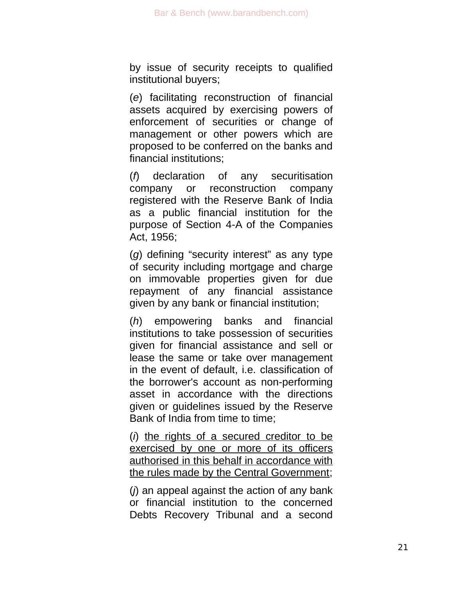by issue of security receipts to qualified institutional buyers;

(*e*) facilitating reconstruction of financial assets acquired by exercising powers of enforcement of securities or change of management or other powers which are proposed to be conferred on the banks and financial institutions;

(*f*) declaration of any securitisation company or reconstruction company registered with the Reserve Bank of India as a public financial institution for the purpose of Section 4-A of the Companies Act, 1956;

(*g*) defining "security interest" as any type of security including mortgage and charge on immovable properties given for due repayment of any financial assistance given by any bank or financial institution;

(*h*) empowering banks and financial institutions to take possession of securities given for financial assistance and sell or lease the same or take over management in the event of default, i.e. classification of the borrower's account as non-performing asset in accordance with the directions given or guidelines issued by the Reserve Bank of India from time to time;

(*i*) the rights of a secured creditor to be exercised by one or more of its officers authorised in this behalf in accordance with the rules made by the Central Government;

(*j*) an appeal against the action of any bank or financial institution to the concerned Debts Recovery Tribunal and a second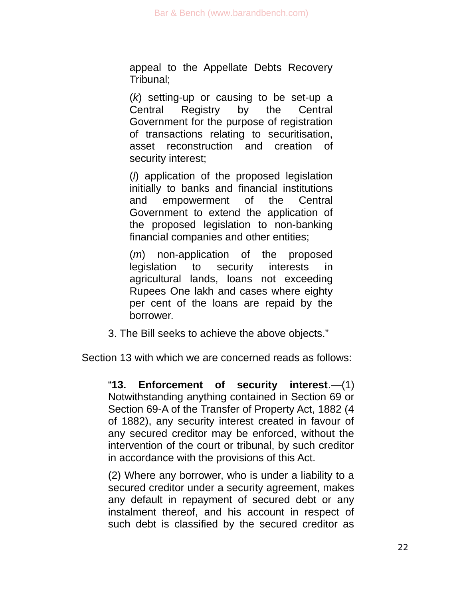appeal to the Appellate Debts Recovery Tribunal;

(*k*) setting-up or causing to be set-up a Central Registry by the Central Government for the purpose of registration of transactions relating to securitisation, asset reconstruction and creation of security interest;

(*l*) application of the proposed legislation initially to banks and financial institutions and empowerment of the Central Government to extend the application of the proposed legislation to non-banking financial companies and other entities;

(*m*) non-application of the proposed legislation to security interests in agricultural lands, loans not exceeding Rupees One lakh and cases where eighty per cent of the loans are repaid by the borrower.

3. The Bill seeks to achieve the above objects."

Section 13 with which we are concerned reads as follows:

"**13. Enforcement of security interest**.—(1) Notwithstanding anything contained in Section 69 or Section 69-A of the Transfer of Property Act, 1882 (4 of 1882), any security interest created in favour of any secured creditor may be enforced, without the intervention of the court or tribunal, by such creditor in accordance with the provisions of this Act.

(2) Where any borrower, who is under a liability to a secured creditor under a security agreement, makes any default in repayment of secured debt or any instalment thereof, and his account in respect of such debt is classified by the secured creditor as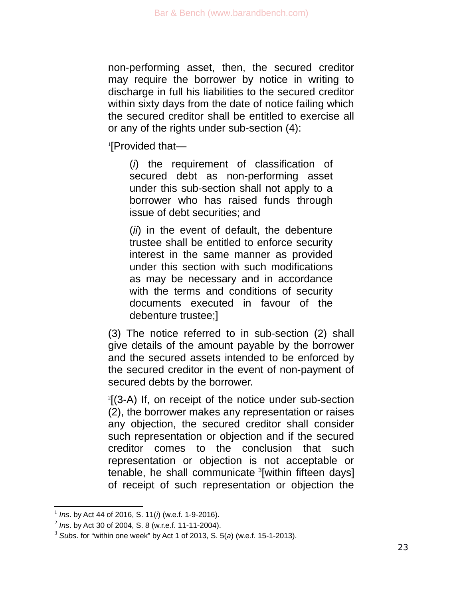non-performing asset, then, the secured creditor may require the borrower by notice in writing to discharge in full his liabilities to the secured creditor within sixty days from the date of notice failing which the secured creditor shall be entitled to exercise all or any of the rights under sub-section (4):

[1](#page-22-0) [Provided that—

(*i*) the requirement of classification of secured debt as non-performing asset under this sub-section shall not apply to a borrower who has raised funds through issue of debt securities; and

(*ii*) in the event of default, the debenture trustee shall be entitled to enforce security interest in the same manner as provided under this section with such modifications as may be necessary and in accordance with the terms and conditions of security documents executed in favour of the debenture trustee;]

(3) The notice referred to in sub-section (2) shall give details of the amount payable by the borrower and the secured assets intended to be enforced by the secured creditor in the event of non-payment of secured debts by the borrower.

[2](#page-22-1) [(3-A) If, on receipt of the notice under sub-section (2), the borrower makes any representation or raises any objection, the secured creditor shall consider such representation or objection and if the secured creditor comes to the conclusion that such representation or objection is not acceptable or tenable, he shall communicate <sup>[3](#page-22-2)</sup>[within fifteen days] of receipt of such representation or objection the

<span id="page-22-0"></span><sup>1</sup> *Ins*. by Act 44 of 2016, S. 11(*i*) (w.e.f. 1-9-2016).

<span id="page-22-1"></span><sup>2</sup> *Ins*. by Act 30 of 2004, S. 8 (w.r.e.f. 11-11-2004).

<span id="page-22-2"></span><sup>3</sup> *Subs*. for "within one week" by Act 1 of 2013, S. 5(*a*) (w.e.f. 15-1-2013).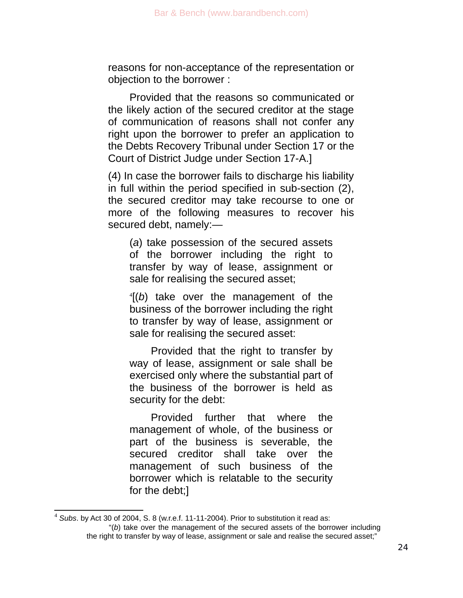reasons for non-acceptance of the representation or objection to the borrower :

Provided that the reasons so communicated or the likely action of the secured creditor at the stage of communication of reasons shall not confer any right upon the borrower to prefer an application to the Debts Recovery Tribunal under Section 17 or the Court of District Judge under Section 17-A.]

(4) In case the borrower fails to discharge his liability in full within the period specified in sub-section (2), the secured creditor may take recourse to one or more of the following measures to recover his secured debt, namely:—

(*a*) take possession of the secured assets of the borrower including the right to transfer by way of lease, assignment or sale for realising the secured asset;

[4](#page-23-0) [(*b*) take over the management of the business of the borrower including the right to transfer by way of lease, assignment or sale for realising the secured asset:

Provided that the right to transfer by way of lease, assignment or sale shall be exercised only where the substantial part of the business of the borrower is held as security for the debt:

Provided further that where the management of whole, of the business or part of the business is severable, the secured creditor shall take over the management of such business of the borrower which is relatable to the security for the debt;]

<span id="page-23-0"></span><sup>4</sup> *Subs*. by Act 30 of 2004, S. 8 (w.r.e.f. 11-11-2004). Prior to substitution it read as:

<sup>&</sup>quot;(*b*) take over the management of the secured assets of the borrower including the right to transfer by way of lease, assignment or sale and realise the secured asset;"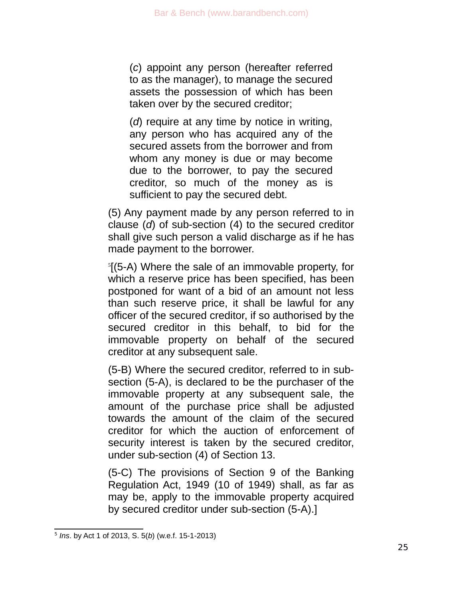(*c*) appoint any person (hereafter referred to as the manager), to manage the secured assets the possession of which has been taken over by the secured creditor;

(*d*) require at any time by notice in writing, any person who has acquired any of the secured assets from the borrower and from whom any money is due or may become due to the borrower, to pay the secured creditor, so much of the money as is sufficient to pay the secured debt.

(5) Any payment made by any person referred to in clause (*d*) of sub-section (4) to the secured creditor shall give such person a valid discharge as if he has made payment to the borrower.

[5](#page-24-0) [(5-A) Where the sale of an immovable property, for which a reserve price has been specified, has been postponed for want of a bid of an amount not less than such reserve price, it shall be lawful for any officer of the secured creditor, if so authorised by the secured creditor in this behalf, to bid for the immovable property on behalf of the secured creditor at any subsequent sale.

(5-B) Where the secured creditor, referred to in subsection (5-A), is declared to be the purchaser of the immovable property at any subsequent sale, the amount of the purchase price shall be adjusted towards the amount of the claim of the secured creditor for which the auction of enforcement of security interest is taken by the secured creditor, under sub-section (4) of Section 13.

(5-C) The provisions of Section 9 of the Banking Regulation Act, 1949 (10 of 1949) shall, as far as may be, apply to the immovable property acquired by secured creditor under sub-section (5-A).]

<span id="page-24-0"></span><sup>5</sup> *Ins*. by Act 1 of 2013, S. 5(*b*) (w.e.f. 15-1-2013)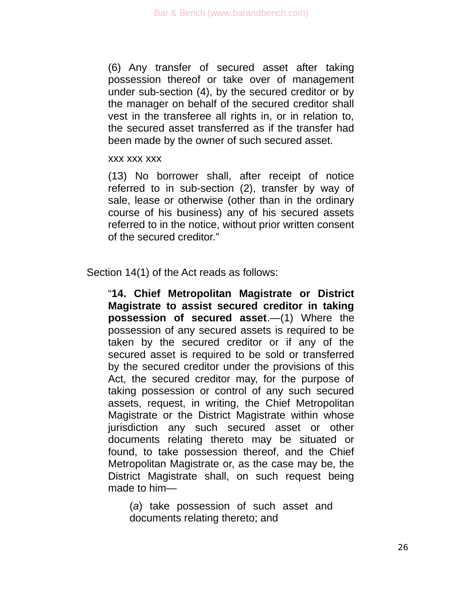(6) Any transfer of secured asset after taking possession thereof or take over of management under sub-section (4), by the secured creditor or by the manager on behalf of the secured creditor shall vest in the transferee all rights in, or in relation to, the secured asset transferred as if the transfer had been made by the owner of such secured asset.

#### xxx xxx xxx

(13) No borrower shall, after receipt of notice referred to in sub-section (2), transfer by way of sale, lease or otherwise (other than in the ordinary course of his business) any of his secured assets referred to in the notice, without prior written consent of the secured creditor."

### Section 14(1) of the Act reads as follows:

"**14. Chief Metropolitan Magistrate or District Magistrate to assist secured creditor in taking possession of secured asset**.—(1) Where the possession of any secured assets is required to be taken by the secured creditor or if any of the secured asset is required to be sold or transferred by the secured creditor under the provisions of this Act, the secured creditor may, for the purpose of taking possession or control of any such secured assets, request, in writing, the Chief Metropolitan Magistrate or the District Magistrate within whose jurisdiction any such secured asset or other documents relating thereto may be situated or found, to take possession thereof, and the Chief Metropolitan Magistrate or, as the case may be, the District Magistrate shall, on such request being made to him—

(*a*) take possession of such asset and documents relating thereto; and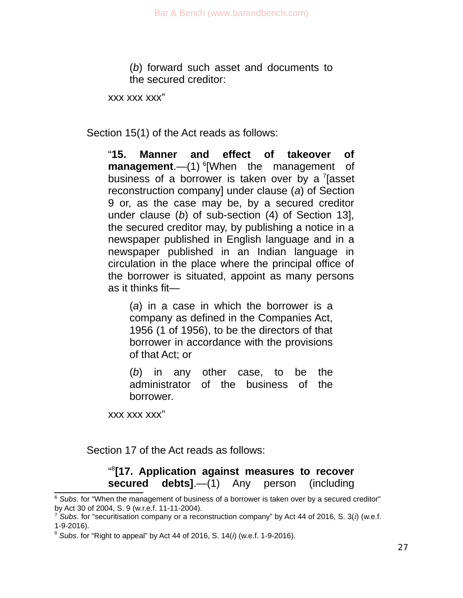(*b*) forward such asset and documents to the secured creditor:

xxx xxx xxx"

Section 15(1) of the Act reads as follows:

"**15. Manner and effect of takeover of management**.—(1) <sup>[6](#page-26-0)</sup>[When the management of business of a borrower is taken over by a  $7$  [asset reconstruction company] under clause (*a*) of Section 9 or, as the case may be, by a secured creditor under clause (*b*) of sub-section (4) of Section 13], the secured creditor may, by publishing a notice in a newspaper published in English language and in a newspaper published in an Indian language in circulation in the place where the principal office of the borrower is situated, appoint as many persons as it thinks fit—

(*a*) in a case in which the borrower is a company as defined in the Companies Act, 1956 (1 of 1956), to be the directors of that borrower in accordance with the provisions of that Act; or

(*b*) in any other case, to be the administrator of the business of the borrower.

xxx xxx xxx"

Section 17 of the Act reads as follows:

### " [8](#page-26-2) **[17. Application against measures to recover secured debts]**.—(1) Any person (including

<span id="page-26-0"></span><sup>&</sup>lt;sup>6</sup> Subs. for "When the management of business of a borrower is taken over by a secured creditor" by Act 30 of 2004, S. 9 (w.r.e.f. 11-11-2004).

<span id="page-26-1"></span><sup>7</sup> *Subs*. for "securitisation company or a reconstruction company" by Act 44 of 2016, S. 3(*i*) (w.e.f. 1-9-2016).

<span id="page-26-2"></span><sup>8</sup> *Subs*. for "Right to appeal" by Act 44 of 2016, S. 14(*i*) (w.e.f. 1-9-2016).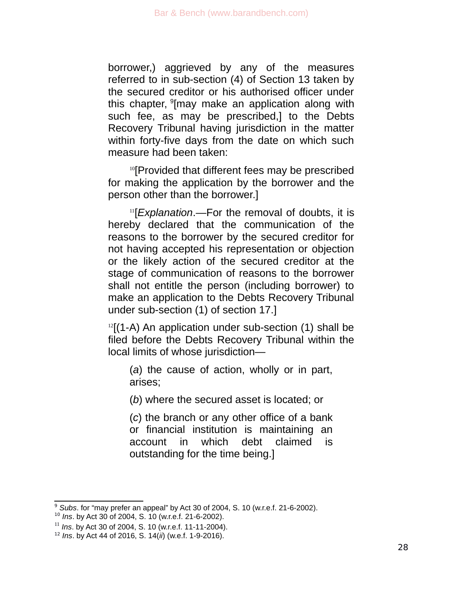borrower,) aggrieved by any of the measures referred to in sub-section (4) of Section 13 taken by the secured creditor or his authorised officer under this chapter, <sup>[9](#page-27-0)</sup>[may make an application along with such fee, as may be prescribed,] to the Debts Recovery Tribunal having jurisdiction in the matter within forty-five days from the date on which such measure had been taken:

<sup>[10](#page-27-1)</sup>[Provided that different fees may be prescribed for making the application by the borrower and the person other than the borrower.]

[11](#page-27-2)[*Explanation*.—For the removal of doubts, it is hereby declared that the communication of the reasons to the borrower by the secured creditor for not having accepted his representation or objection or the likely action of the secured creditor at the stage of communication of reasons to the borrower shall not entitle the person (including borrower) to make an application to the Debts Recovery Tribunal under sub-section (1) of section 17.]

 $12$ [(1-A) An application under sub-section (1) shall be filed before the Debts Recovery Tribunal within the local limits of whose jurisdiction—

(*a*) the cause of action, wholly or in part, arises;

(*b*) where the secured asset is located; or

(*c*) the branch or any other office of a bank or financial institution is maintaining an account in which debt claimed is outstanding for the time being.]

<span id="page-27-0"></span><sup>9</sup> *Subs*. for "may prefer an appeal" by Act 30 of 2004, S. 10 (w.r.e.f. 21-6-2002).

<span id="page-27-1"></span><sup>10</sup> *Ins*. by Act 30 of 2004, S. 10 (w.r.e.f. 21-6-2002).

<span id="page-27-2"></span><sup>11</sup> *Ins*. by Act 30 of 2004, S. 10 (w.r.e.f. 11-11-2004).

<span id="page-27-3"></span><sup>12</sup> *Ins*. by Act 44 of 2016, S. 14(*ii*) (w.e.f. 1-9-2016).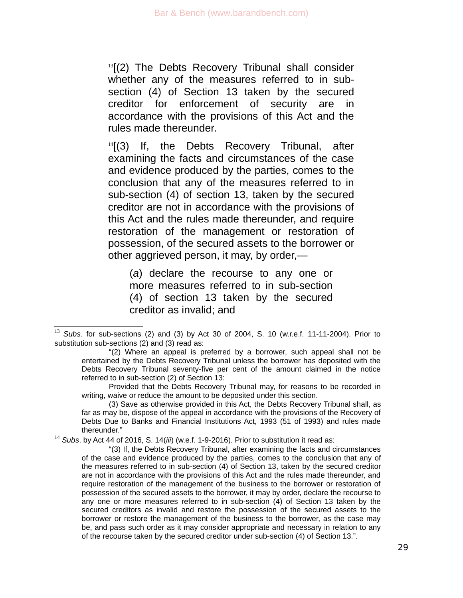$13$ [(2) The Debts Recovery Tribunal shall consider whether any of the measures referred to in subsection (4) of Section 13 taken by the secured creditor for enforcement of security are in accordance with the provisions of this Act and the rules made thereunder.

 $14$ [(3) If, the Debts Recovery Tribunal, after examining the facts and circumstances of the case and evidence produced by the parties, comes to the conclusion that any of the measures referred to in sub-section (4) of section 13, taken by the secured creditor are not in accordance with the provisions of this Act and the rules made thereunder, and require restoration of the management or restoration of possession, of the secured assets to the borrower or other aggrieved person, it may, by order,—

(*a*) declare the recourse to any one or more measures referred to in sub-section (4) of section 13 taken by the secured creditor as invalid; and

Provided that the Debts Recovery Tribunal may, for reasons to be recorded in writing, waive or reduce the amount to be deposited under this section.

(3) Save as otherwise provided in this Act, the Debts Recovery Tribunal shall, as far as may be, dispose of the appeal in accordance with the provisions of the Recovery of Debts Due to Banks and Financial Institutions Act, 1993 (51 of 1993) and rules made thereunder."

<span id="page-28-1"></span><sup>14</sup> Subs. by Act 44 of 2016, S. 14(*iii*) (w.e.f. 1-9-2016). Prior to substitution it read as:

"(3) If, the Debts Recovery Tribunal, after examining the facts and circumstances of the case and evidence produced by the parties, comes to the conclusion that any of the measures referred to in sub-section (4) of Section 13, taken by the secured creditor are not in accordance with the provisions of this Act and the rules made thereunder, and require restoration of the management of the business to the borrower or restoration of possession of the secured assets to the borrower, it may by order, declare the recourse to any one or more measures referred to in sub-section (4) of Section 13 taken by the secured creditors as invalid and restore the possession of the secured assets to the borrower or restore the management of the business to the borrower, as the case may be, and pass such order as it may consider appropriate and necessary in relation to any of the recourse taken by the secured creditor under sub-section (4) of Section 13.".

<span id="page-28-0"></span><sup>13</sup> *Subs*. for sub-sections (2) and (3) by Act 30 of 2004, S. 10 (w.r.e.f. 11-11-2004). Prior to substitution sub-sections (2) and (3) read as:

<sup>&</sup>quot;(2) Where an appeal is preferred by a borrower, such appeal shall not be entertained by the Debts Recovery Tribunal unless the borrower has deposited with the Debts Recovery Tribunal seventy-five per cent of the amount claimed in the notice referred to in sub-section (2) of Section 13: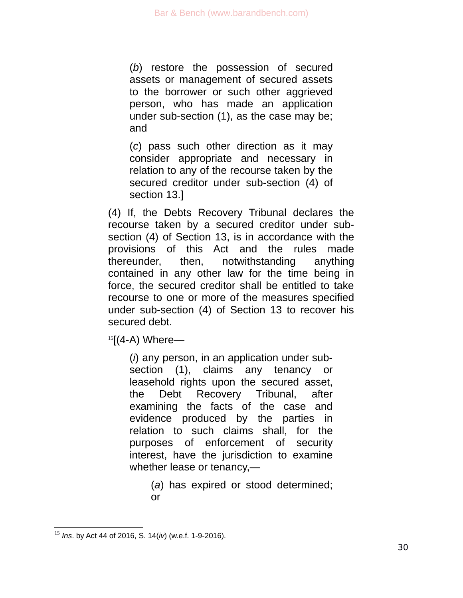(*b*) restore the possession of secured assets or management of secured assets to the borrower or such other aggrieved person, who has made an application under sub-section (1), as the case may be; and

(*c*) pass such other direction as it may consider appropriate and necessary in relation to any of the recourse taken by the secured creditor under sub-section (4) of section 13.]

(4) If, the Debts Recovery Tribunal declares the recourse taken by a secured creditor under subsection (4) of Section 13, is in accordance with the provisions of this Act and the rules made thereunder, then, notwithstanding anything contained in any other law for the time being in force, the secured creditor shall be entitled to take recourse to one or more of the measures specified under sub-section (4) of Section 13 to recover his secured debt.

 $15$ [(4-A) Where—

(*i*) any person, in an application under subsection (1), claims any tenancy or leasehold rights upon the secured asset, the Debt Recovery Tribunal, after examining the facts of the case and evidence produced by the parties in relation to such claims shall, for the purposes of enforcement of security interest, have the jurisdiction to examine whether lease or tenancy,—

> (*a*) has expired or stood determined; or

<span id="page-29-0"></span><sup>15</sup> *Ins*. by Act 44 of 2016, S. 14(*iv*) (w.e.f. 1-9-2016).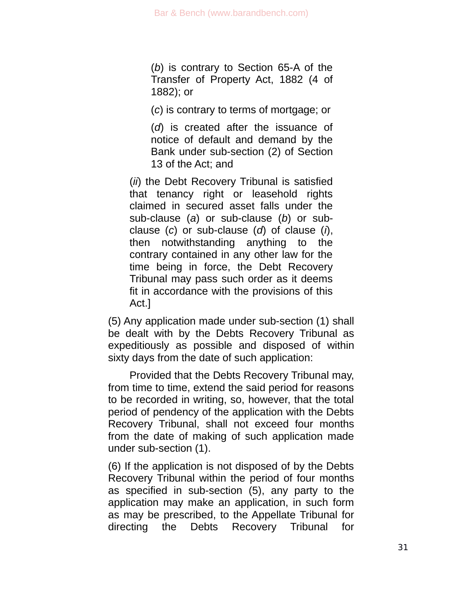(*b*) is contrary to Section 65-A of the Transfer of Property Act, 1882 (4 of 1882); or

(*c*) is contrary to terms of mortgage; or

(*d*) is created after the issuance of notice of default and demand by the Bank under sub-section (2) of Section 13 of the Act; and

(*ii*) the Debt Recovery Tribunal is satisfied that tenancy right or leasehold rights claimed in secured asset falls under the sub-clause (*a*) or sub-clause (*b*) or subclause (*c*) or sub-clause (*d*) of clause (*i*), then notwithstanding anything to the contrary contained in any other law for the time being in force, the Debt Recovery Tribunal may pass such order as it deems fit in accordance with the provisions of this Act.]

(5) Any application made under sub-section (1) shall be dealt with by the Debts Recovery Tribunal as expeditiously as possible and disposed of within sixty days from the date of such application:

Provided that the Debts Recovery Tribunal may, from time to time, extend the said period for reasons to be recorded in writing, so, however, that the total period of pendency of the application with the Debts Recovery Tribunal, shall not exceed four months from the date of making of such application made under sub-section (1).

(6) If the application is not disposed of by the Debts Recovery Tribunal within the period of four months as specified in sub-section (5), any party to the application may make an application, in such form as may be prescribed, to the Appellate Tribunal for directing the Debts Recovery Tribunal for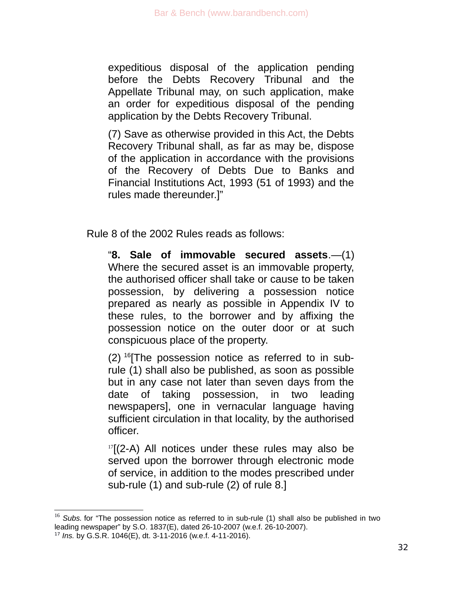expeditious disposal of the application pending before the Debts Recovery Tribunal and the Appellate Tribunal may, on such application, make an order for expeditious disposal of the pending application by the Debts Recovery Tribunal.

(7) Save as otherwise provided in this Act, the Debts Recovery Tribunal shall, as far as may be, dispose of the application in accordance with the provisions of the Recovery of Debts Due to Banks and Financial Institutions Act, 1993 (51 of 1993) and the rules made thereunder.]"

Rule 8 of the 2002 Rules reads as follows:

"**8. Sale of immovable secured assets**.—(1) Where the secured asset is an immovable property, the authorised officer shall take or cause to be taken possession, by delivering a possession notice prepared as nearly as possible in Appendix IV to these rules, to the borrower and by affixing the possession notice on the outer door or at such conspicuous place of the property.

 $(2)$  <sup>[16](#page-31-0)</sup>[The possession notice as referred to in subrule (1) shall also be published, as soon as possible but in any case not later than seven days from the date of taking possession, in two leading newspapers], one in vernacular language having sufficient circulation in that locality, by the authorised officer.

 $17$ [(2-A) All notices under these rules may also be served upon the borrower through electronic mode of service, in addition to the modes prescribed under sub-rule (1) and sub-rule (2) of rule 8.]

<span id="page-31-0"></span><sup>&</sup>lt;sup>16</sup> Subs. for "The possession notice as referred to in sub-rule (1) shall also be published in two leading newspaper" by S.O. 1837(E), dated 26-10-2007 (w.e.f. 26-10-2007).

<span id="page-31-1"></span><sup>17</sup> *Ins.* by G.S.R. 1046(E), dt. 3-11-2016 (w.e.f. 4-11-2016).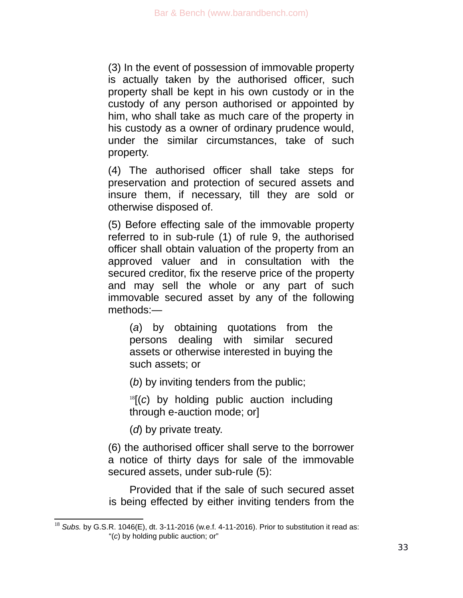(3) In the event of possession of immovable property is actually taken by the authorised officer, such property shall be kept in his own custody or in the custody of any person authorised or appointed by him, who shall take as much care of the property in his custody as a owner of ordinary prudence would, under the similar circumstances, take of such property.

(4) The authorised officer shall take steps for preservation and protection of secured assets and insure them, if necessary, till they are sold or otherwise disposed of.

(5) Before effecting sale of the immovable property referred to in sub-rule (1) of rule 9, the authorised officer shall obtain valuation of the property from an approved valuer and in consultation with the secured creditor, fix the reserve price of the property and may sell the whole or any part of such immovable secured asset by any of the following methods:—

(*a*) by obtaining quotations from the persons dealing with similar secured assets or otherwise interested in buying the such assets; or

(*b*) by inviting tenders from the public;

[18](#page-32-0)[(*c*) by holding public auction including through e-auction mode; or]

(*d*) by private treaty.

(6) the authorised officer shall serve to the borrower a notice of thirty days for sale of the immovable secured assets, under sub-rule (5):

Provided that if the sale of such secured asset is being effected by either inviting tenders from the

<span id="page-32-0"></span><sup>18</sup> *Subs.* by G.S.R. 1046(E), dt. 3-11-2016 (w.e.f. 4-11-2016). Prior to substitution it read as: "(*c*) by holding public auction; or"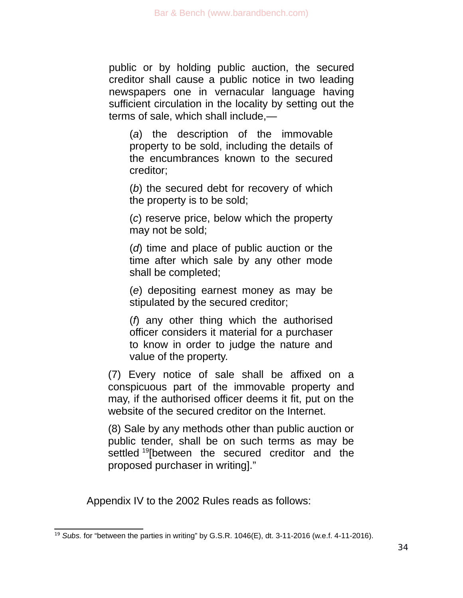public or by holding public auction, the secured creditor shall cause a public notice in two leading newspapers one in vernacular language having sufficient circulation in the locality by setting out the terms of sale, which shall include,—

(*a*) the description of the immovable property to be sold, including the details of the encumbrances known to the secured creditor;

(*b*) the secured debt for recovery of which the property is to be sold;

(*c*) reserve price, below which the property may not be sold;

(*d*) time and place of public auction or the time after which sale by any other mode shall be completed;

(*e*) depositing earnest money as may be stipulated by the secured creditor;

(*f*) any other thing which the authorised officer considers it material for a purchaser to know in order to judge the nature and value of the property.

(7) Every notice of sale shall be affixed on a conspicuous part of the immovable property and may, if the authorised officer deems it fit, put on the website of the secured creditor on the Internet.

(8) Sale by any methods other than public auction or public tender, shall be on such terms as may be settled <sup>[19](#page-33-0)</sup>[between the secured creditor and the proposed purchaser in writing]."

Appendix IV to the 2002 Rules reads as follows:

<span id="page-33-0"></span><sup>&</sup>lt;sup>19</sup> Subs. for "between the parties in writing" by G.S.R. 1046(E), dt. 3-11-2016 (w.e.f. 4-11-2016).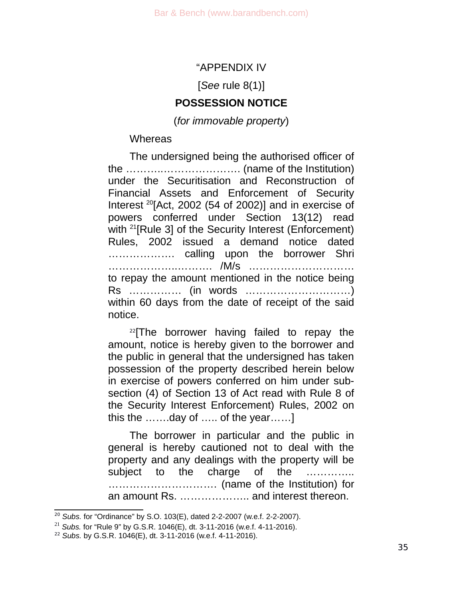### "APPENDIX IV

[*See* rule 8(1)]

### **POSSESSION NOTICE**

(*for immovable property*)

### **Whereas**

The undersigned being the authorised officer of the ………..…………………. (name of the Institution) under the Securitisation and Reconstruction of Financial Assets and Enforcement of Security Interest  $^{20}$  $^{20}$  $^{20}$ [Act, 2002 (54 of 2002)] and in exercise of powers conferred under Section 13(12) read with <sup>[21](#page-34-1)</sup>[Rule 3] of the Security Interest (Enforcement) Rules, 2002 issued a demand notice dated ………………. calling upon the borrower Shri ………………..………. /M/s ………………………… to repay the amount mentioned in the notice being Rs …………… (in words …………………………) within 60 days from the date of receipt of the said notice.

 $22$ [The borrower having failed to repay the amount, notice is hereby given to the borrower and the public in general that the undersigned has taken possession of the property described herein below in exercise of powers conferred on him under subsection (4) of Section 13 of Act read with Rule 8 of the Security Interest Enforcement) Rules, 2002 on this the …….day of ….. of the year……]

The borrower in particular and the public in general is hereby cautioned not to deal with the property and any dealings with the property will be subject to the charge of the …………… …………………………. (name of the Institution) for an amount Rs. ……………….. and interest thereon.

<span id="page-34-0"></span><sup>20</sup> *Subs.* for "Ordinance" by S.O. 103(E), dated 2-2-2007 (w.e.f. 2-2-2007).

<span id="page-34-1"></span><sup>21</sup> *Subs.* for "Rule 9" by G.S.R. 1046(E), dt. 3-11-2016 (w.e.f. 4-11-2016).

<span id="page-34-2"></span><sup>22</sup> *Subs.* by G.S.R. 1046(E), dt. 3-11-2016 (w.e.f. 4-11-2016).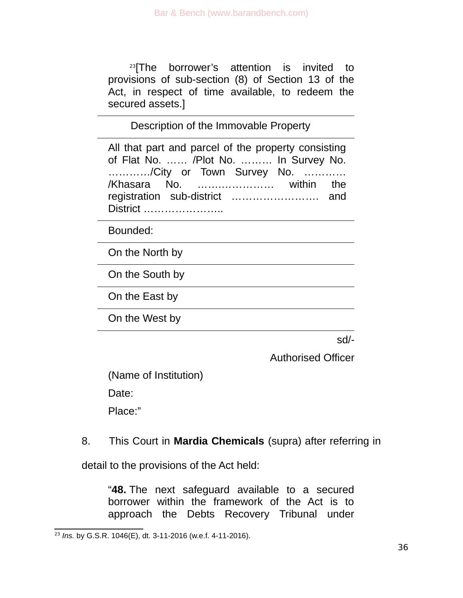$23$ [The borrower's attention is invited to provisions of sub-section (8) of Section 13 of the Act, in respect of time available, to redeem the secured assets.]

Description of the Immovable Property

All that part and parcel of the property consisting of Flat No. …… /Plot No. ……… In Survey No. …………/City or Town Survey No. ………… /Khasara No. …….…………… within the registration sub-district ……………………. and District …………………..

Bounded:

On the North by

On the South by

On the East by

On the West by

sd/-

Authorised Officer

(Name of Institution)

Date:

Place:"

# 8. This Court in **Mardia Chemicals** (supra) after referring in

detail to the provisions of the Act held:

"**48.** The next safeguard available to a secured borrower within the framework of the Act is to approach the Debts Recovery Tribunal under

<span id="page-35-0"></span><sup>23</sup> *Ins.* by G.S.R. 1046(E), dt. 3-11-2016 (w.e.f. 4-11-2016).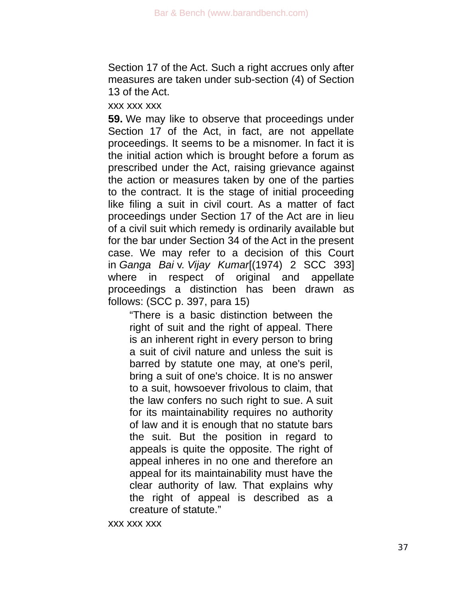Section 17 of the Act. Such a right accrues only after measures are taken under sub-section (4) of Section 13 of the Act.

xxx xxx xxx

**59.** We may like to observe that proceedings under Section 17 of the Act, in fact, are not appellate proceedings. It seems to be a misnomer. In fact it is the initial action which is brought before a forum as prescribed under the Act, raising grievance against the action or measures taken by one of the parties to the contract. It is the stage of initial proceeding like filing a suit in civil court. As a matter of fact proceedings under Section 17 of the Act are in lieu of a civil suit which remedy is ordinarily available but for the bar under Section 34 of the Act in the present case. We may refer to a decision of this Court in *Ganga Bai* v. *Vijay Kumar*[(1974) 2 SCC 393] where in respect of original and appellate proceedings a distinction has been drawn as follows: (SCC p. 397, para 15)

"There is a basic distinction between the right of suit and the right of appeal. There is an inherent right in every person to bring a suit of civil nature and unless the suit is barred by statute one may, at one's peril, bring a suit of one's choice. It is no answer to a suit, howsoever frivolous to claim, that the law confers no such right to sue. A suit for its maintainability requires no authority of law and it is enough that no statute bars the suit. But the position in regard to appeals is quite the opposite. The right of appeal inheres in no one and therefore an appeal for its maintainability must have the clear authority of law. That explains why the right of appeal is described as a creature of statute."

xxx xxx xxx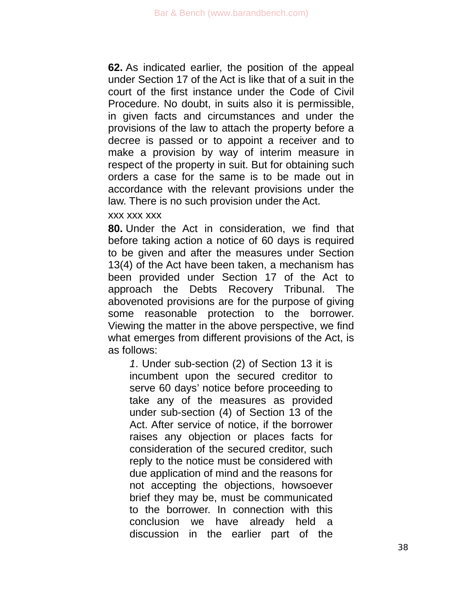**62.** As indicated earlier, the position of the appeal under Section 17 of the Act is like that of a suit in the court of the first instance under the Code of Civil Procedure. No doubt, in suits also it is permissible, in given facts and circumstances and under the provisions of the law to attach the property before a decree is passed or to appoint a receiver and to make a provision by way of interim measure in respect of the property in suit. But for obtaining such orders a case for the same is to be made out in accordance with the relevant provisions under the law. There is no such provision under the Act.

xxx xxx xxx

**80.** Under the Act in consideration, we find that before taking action a notice of 60 days is required to be given and after the measures under Section 13(4) of the Act have been taken, a mechanism has been provided under Section 17 of the Act to approach the Debts Recovery Tribunal. The abovenoted provisions are for the purpose of giving some reasonable protection to the borrower. Viewing the matter in the above perspective, we find what emerges from different provisions of the Act, is as follows:

*1*. Under sub-section (2) of Section 13 it is incumbent upon the secured creditor to serve 60 days' notice before proceeding to take any of the measures as provided under sub-section (4) of Section 13 of the Act. After service of notice, if the borrower raises any objection or places facts for consideration of the secured creditor, such reply to the notice must be considered with due application of mind and the reasons for not accepting the objections, howsoever brief they may be, must be communicated to the borrower. In connection with this conclusion we have already held a discussion in the earlier part of the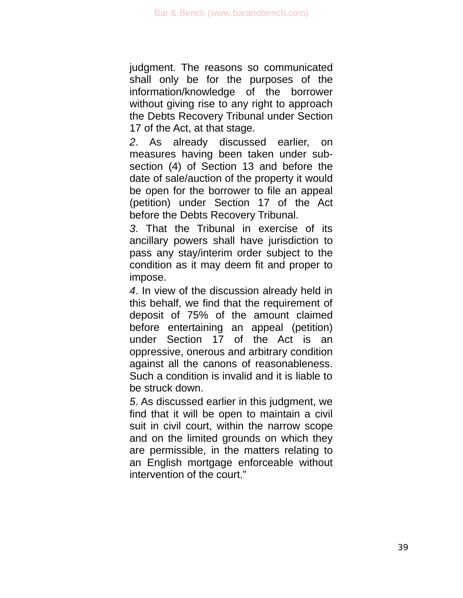judgment. The reasons so communicated shall only be for the purposes of the information/knowledge of the borrower without giving rise to any right to approach the Debts Recovery Tribunal under Section 17 of the Act, at that stage.

*2*. As already discussed earlier, on measures having been taken under subsection (4) of Section 13 and before the date of sale/auction of the property it would be open for the borrower to file an appeal (petition) under Section 17 of the Act before the Debts Recovery Tribunal.

*3*. That the Tribunal in exercise of its ancillary powers shall have jurisdiction to pass any stay/interim order subject to the condition as it may deem fit and proper to impose.

*4*. In view of the discussion already held in this behalf, we find that the requirement of deposit of 75% of the amount claimed before entertaining an appeal (petition) under Section 17 of the Act is an oppressive, onerous and arbitrary condition against all the canons of reasonableness. Such a condition is invalid and it is liable to be struck down.

*5*. As discussed earlier in this judgment, we find that it will be open to maintain a civil suit in civil court, within the narrow scope and on the limited grounds on which they are permissible, in the matters relating to an English mortgage enforceable without intervention of the court."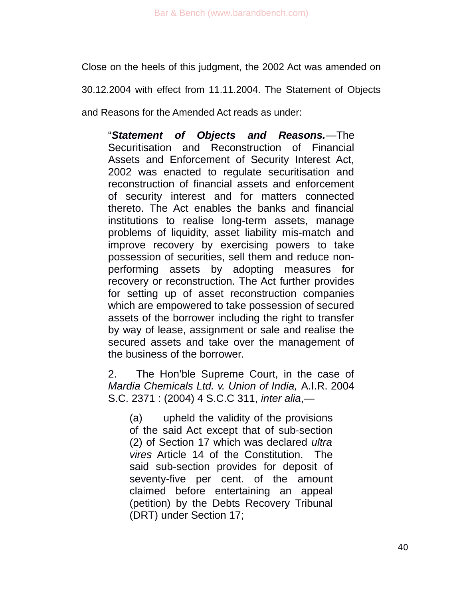Close on the heels of this judgment, the 2002 Act was amended on

30.12.2004 with effect from 11.11.2004. The Statement of Objects

and Reasons for the Amended Act reads as under:

"*Statement of Objects and Reasons.*—The Securitisation and Reconstruction of Financial Assets and Enforcement of Security Interest Act, 2002 was enacted to regulate securitisation and reconstruction of financial assets and enforcement of security interest and for matters connected thereto. The Act enables the banks and financial institutions to realise long-term assets, manage problems of liquidity, asset liability mis-match and improve recovery by exercising powers to take possession of securities, sell them and reduce nonperforming assets by adopting measures for recovery or reconstruction. The Act further provides for setting up of asset reconstruction companies which are empowered to take possession of secured assets of the borrower including the right to transfer by way of lease, assignment or sale and realise the secured assets and take over the management of the business of the borrower.

2. The Hon'ble Supreme Court, in the case of *Mardia Chemicals Ltd. v. Union of India,* A.I.R. 2004 S.C. 2371 : (2004) 4 S.C.C 311, *inter alia*,—

(a) upheld the validity of the provisions of the said Act except that of sub-section (2) of Section 17 which was declared *ultra vires* Article 14 of the Constitution. The said sub-section provides for deposit of seventy-five per cent. of the amount claimed before entertaining an appeal (petition) by the Debts Recovery Tribunal (DRT) under Section 17;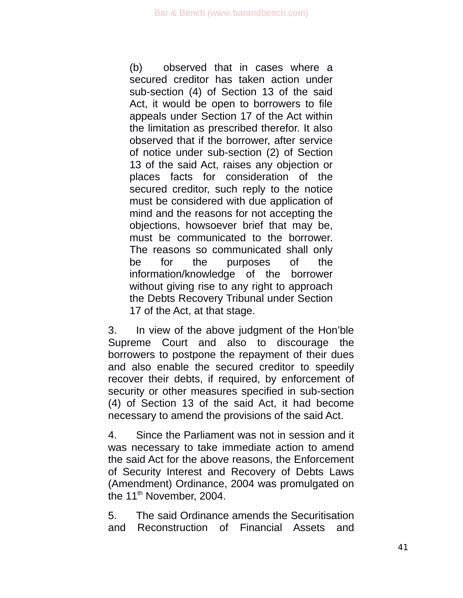(b) observed that in cases where a secured creditor has taken action under sub-section (4) of Section 13 of the said Act, it would be open to borrowers to file appeals under Section 17 of the Act within the limitation as prescribed therefor. It also observed that if the borrower, after service of notice under sub-section (2) of Section 13 of the said Act, raises any objection or places facts for consideration of the secured creditor, such reply to the notice must be considered with due application of mind and the reasons for not accepting the objections, howsoever brief that may be, must be communicated to the borrower. The reasons so communicated shall only be for the purposes of the information/knowledge of the borrower without giving rise to any right to approach the Debts Recovery Tribunal under Section 17 of the Act, at that stage.

3. In view of the above judgment of the Hon'ble Supreme Court and also to discourage the borrowers to postpone the repayment of their dues and also enable the secured creditor to speedily recover their debts, if required, by enforcement of security or other measures specified in sub-section (4) of Section 13 of the said Act, it had become necessary to amend the provisions of the said Act.

4. Since the Parliament was not in session and it was necessary to take immediate action to amend the said Act for the above reasons, the Enforcement of Security Interest and Recovery of Debts Laws (Amendment) Ordinance, 2004 was promulgated on the  $11<sup>th</sup>$  November, 2004.

5. The said Ordinance amends the Securitisation and Reconstruction of Financial Assets and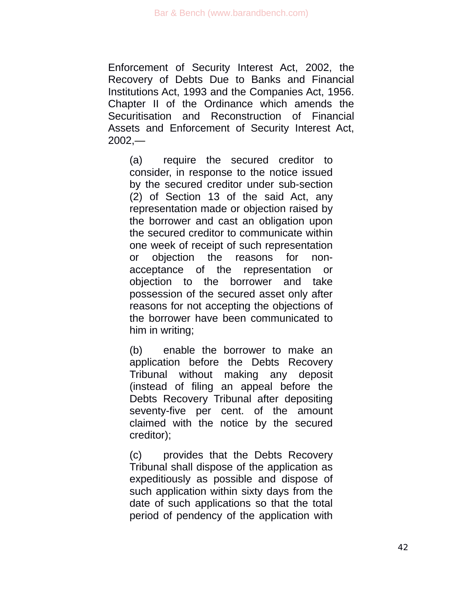Enforcement of Security Interest Act, 2002, the Recovery of Debts Due to Banks and Financial Institutions Act, 1993 and the Companies Act, 1956. Chapter II of the Ordinance which amends the Securitisation and Reconstruction of Financial Assets and Enforcement of Security Interest Act,  $2002 -$ 

(a) require the secured creditor to consider, in response to the notice issued by the secured creditor under sub-section (2) of Section 13 of the said Act, any representation made or objection raised by the borrower and cast an obligation upon the secured creditor to communicate within one week of receipt of such representation or objection the reasons for nonacceptance of the representation or objection to the borrower and take possession of the secured asset only after reasons for not accepting the objections of the borrower have been communicated to him in writing;

(b) enable the borrower to make an application before the Debts Recovery Tribunal without making any deposit (instead of filing an appeal before the Debts Recovery Tribunal after depositing seventy-five per cent. of the amount claimed with the notice by the secured creditor);

(c) provides that the Debts Recovery Tribunal shall dispose of the application as expeditiously as possible and dispose of such application within sixty days from the date of such applications so that the total period of pendency of the application with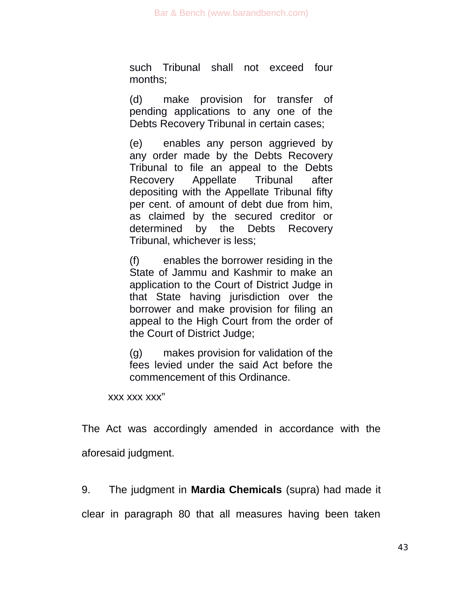such Tribunal shall not exceed four months;

(d) make provision for transfer of pending applications to any one of the Debts Recovery Tribunal in certain cases;

(e) enables any person aggrieved by any order made by the Debts Recovery Tribunal to file an appeal to the Debts Recovery Appellate Tribunal after depositing with the Appellate Tribunal fifty per cent. of amount of debt due from him, as claimed by the secured creditor or determined by the Debts Recovery Tribunal, whichever is less;

(f) enables the borrower residing in the State of Jammu and Kashmir to make an application to the Court of District Judge in that State having jurisdiction over the borrower and make provision for filing an appeal to the High Court from the order of the Court of District Judge;

(g) makes provision for validation of the fees levied under the said Act before the commencement of this Ordinance.

xxx xxx xxx"

The Act was accordingly amended in accordance with the aforesaid judgment.

9. The judgment in **Mardia Chemicals** (supra) had made it

clear in paragraph 80 that all measures having been taken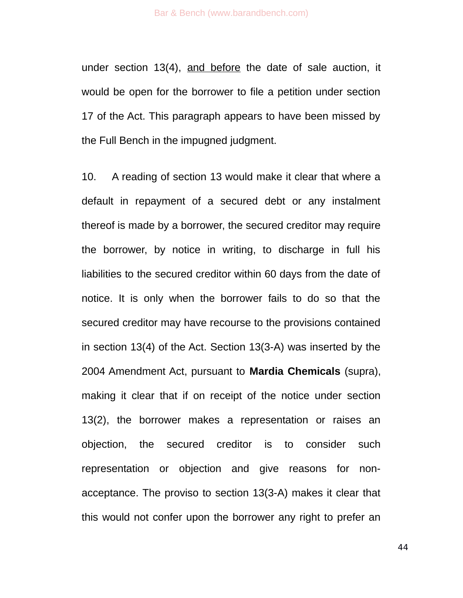under section 13(4), and before the date of sale auction, it would be open for the borrower to file a petition under section 17 of the Act. This paragraph appears to have been missed by the Full Bench in the impugned judgment.

10. A reading of section 13 would make it clear that where a default in repayment of a secured debt or any instalment thereof is made by a borrower, the secured creditor may require the borrower, by notice in writing, to discharge in full his liabilities to the secured creditor within 60 days from the date of notice. It is only when the borrower fails to do so that the secured creditor may have recourse to the provisions contained in section 13(4) of the Act. Section 13(3-A) was inserted by the 2004 Amendment Act, pursuant to **Mardia Chemicals** (supra), making it clear that if on receipt of the notice under section 13(2), the borrower makes a representation or raises an objection, the secured creditor is to consider such representation or objection and give reasons for nonacceptance. The proviso to section 13(3-A) makes it clear that this would not confer upon the borrower any right to prefer an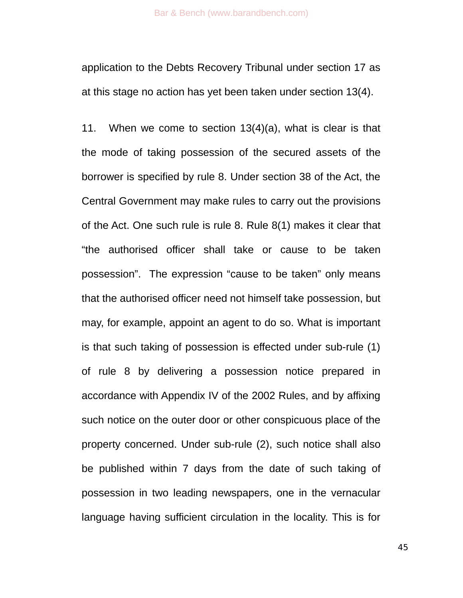application to the Debts Recovery Tribunal under section 17 as at this stage no action has yet been taken under section 13(4).

11. When we come to section 13(4)(a), what is clear is that the mode of taking possession of the secured assets of the borrower is specified by rule 8. Under section 38 of the Act, the Central Government may make rules to carry out the provisions of the Act. One such rule is rule 8. Rule 8(1) makes it clear that "the authorised officer shall take or cause to be taken possession". The expression "cause to be taken" only means that the authorised officer need not himself take possession, but may, for example, appoint an agent to do so. What is important is that such taking of possession is effected under sub-rule (1) of rule 8 by delivering a possession notice prepared in accordance with Appendix IV of the 2002 Rules, and by affixing such notice on the outer door or other conspicuous place of the property concerned. Under sub-rule (2), such notice shall also be published within 7 days from the date of such taking of possession in two leading newspapers, one in the vernacular language having sufficient circulation in the locality. This is for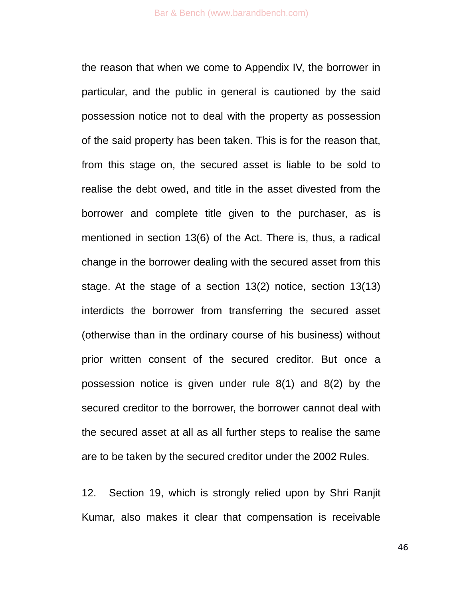the reason that when we come to Appendix IV, the borrower in particular, and the public in general is cautioned by the said possession notice not to deal with the property as possession of the said property has been taken. This is for the reason that, from this stage on, the secured asset is liable to be sold to realise the debt owed, and title in the asset divested from the borrower and complete title given to the purchaser, as is mentioned in section 13(6) of the Act. There is, thus, a radical change in the borrower dealing with the secured asset from this stage. At the stage of a section 13(2) notice, section 13(13) interdicts the borrower from transferring the secured asset (otherwise than in the ordinary course of his business) without prior written consent of the secured creditor. But once a possession notice is given under rule 8(1) and 8(2) by the secured creditor to the borrower, the borrower cannot deal with the secured asset at all as all further steps to realise the same are to be taken by the secured creditor under the 2002 Rules.

12. Section 19, which is strongly relied upon by Shri Ranjit Kumar, also makes it clear that compensation is receivable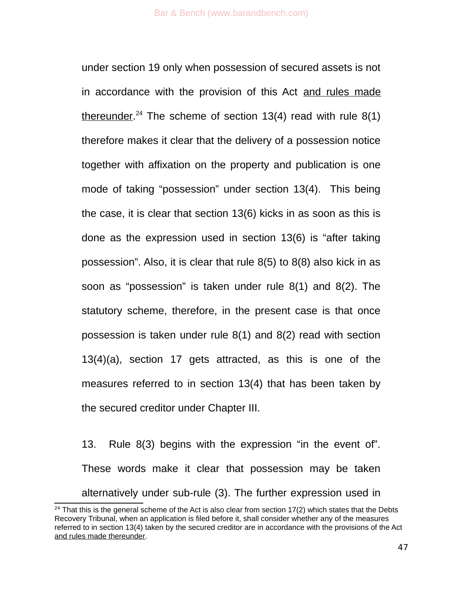under section 19 only when possession of secured assets is not in accordance with the provision of this Act and rules made thereunder.<sup>[24](#page-46-0)</sup> The scheme of section 13(4) read with rule  $8(1)$ therefore makes it clear that the delivery of a possession notice together with affixation on the property and publication is one mode of taking "possession" under section 13(4). This being the case, it is clear that section 13(6) kicks in as soon as this is done as the expression used in section 13(6) is "after taking possession". Also, it is clear that rule 8(5) to 8(8) also kick in as soon as "possession" is taken under rule 8(1) and 8(2). The statutory scheme, therefore, in the present case is that once possession is taken under rule 8(1) and 8(2) read with section 13(4)(a), section 17 gets attracted, as this is one of the measures referred to in section 13(4) that has been taken by the secured creditor under Chapter III.

13. Rule 8(3) begins with the expression "in the event of". These words make it clear that possession may be taken alternatively under sub-rule (3). The further expression used in

<span id="page-46-0"></span> $24$  That this is the general scheme of the Act is also clear from section 17(2) which states that the Debts Recovery Tribunal, when an application is filed before it, shall consider whether any of the measures referred to in section 13(4) taken by the secured creditor are in accordance with the provisions of the Act and rules made thereunder.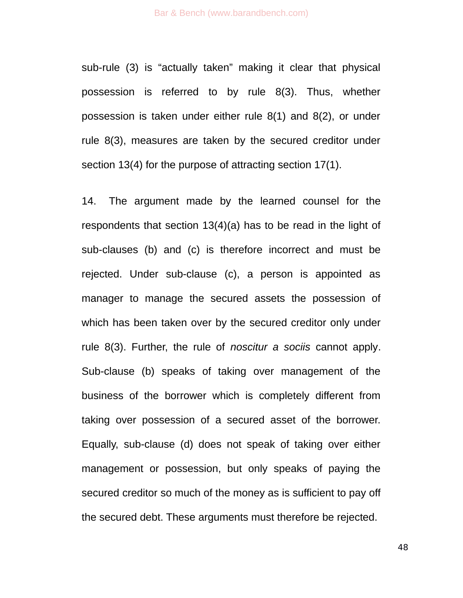sub-rule (3) is "actually taken" making it clear that physical possession is referred to by rule 8(3). Thus, whether possession is taken under either rule 8(1) and 8(2), or under rule 8(3), measures are taken by the secured creditor under section 13(4) for the purpose of attracting section 17(1).

14. The argument made by the learned counsel for the respondents that section 13(4)(a) has to be read in the light of sub-clauses (b) and (c) is therefore incorrect and must be rejected. Under sub-clause (c), a person is appointed as manager to manage the secured assets the possession of which has been taken over by the secured creditor only under rule 8(3). Further, the rule of *noscitur a sociis* cannot apply. Sub-clause (b) speaks of taking over management of the business of the borrower which is completely different from taking over possession of a secured asset of the borrower. Equally, sub-clause (d) does not speak of taking over either management or possession, but only speaks of paying the secured creditor so much of the money as is sufficient to pay off the secured debt. These arguments must therefore be rejected.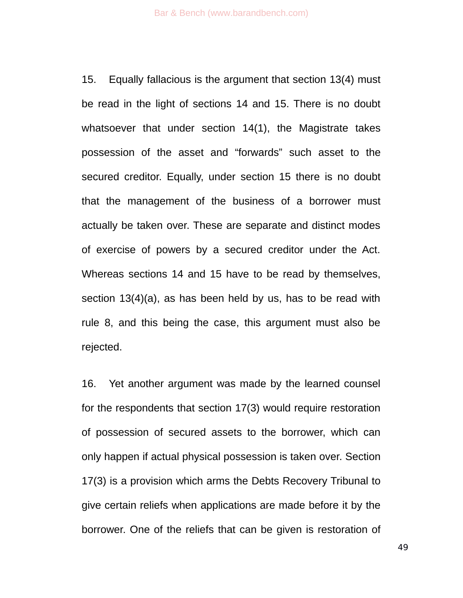15. Equally fallacious is the argument that section 13(4) must be read in the light of sections 14 and 15. There is no doubt whatsoever that under section 14(1), the Magistrate takes possession of the asset and "forwards" such asset to the secured creditor. Equally, under section 15 there is no doubt that the management of the business of a borrower must actually be taken over. These are separate and distinct modes of exercise of powers by a secured creditor under the Act. Whereas sections 14 and 15 have to be read by themselves, section 13(4)(a), as has been held by us, has to be read with rule 8, and this being the case, this argument must also be rejected.

16. Yet another argument was made by the learned counsel for the respondents that section 17(3) would require restoration of possession of secured assets to the borrower, which can only happen if actual physical possession is taken over. Section 17(3) is a provision which arms the Debts Recovery Tribunal to give certain reliefs when applications are made before it by the borrower. One of the reliefs that can be given is restoration of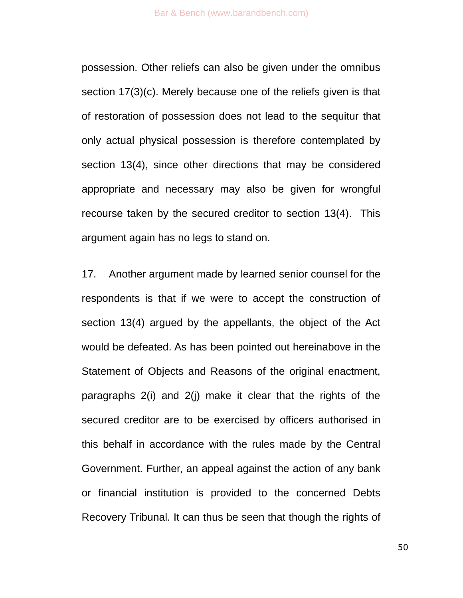possession. Other reliefs can also be given under the omnibus section 17(3)(c). Merely because one of the reliefs given is that of restoration of possession does not lead to the sequitur that only actual physical possession is therefore contemplated by section 13(4), since other directions that may be considered appropriate and necessary may also be given for wrongful recourse taken by the secured creditor to section 13(4). This argument again has no legs to stand on.

17. Another argument made by learned senior counsel for the respondents is that if we were to accept the construction of section 13(4) argued by the appellants, the object of the Act would be defeated. As has been pointed out hereinabove in the Statement of Objects and Reasons of the original enactment, paragraphs 2(i) and 2(j) make it clear that the rights of the secured creditor are to be exercised by officers authorised in this behalf in accordance with the rules made by the Central Government. Further, an appeal against the action of any bank or financial institution is provided to the concerned Debts Recovery Tribunal. It can thus be seen that though the rights of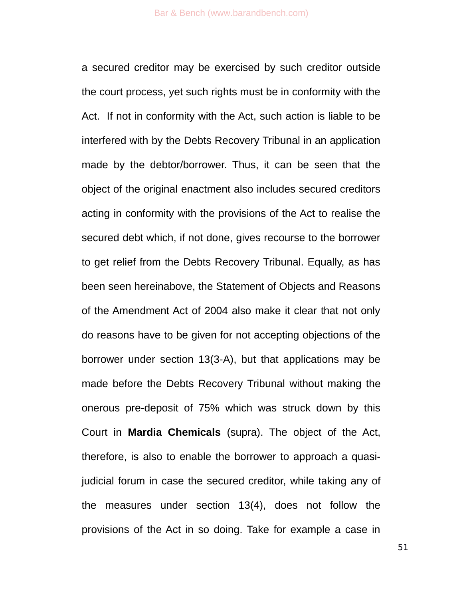a secured creditor may be exercised by such creditor outside the court process, yet such rights must be in conformity with the Act. If not in conformity with the Act, such action is liable to be interfered with by the Debts Recovery Tribunal in an application made by the debtor/borrower. Thus, it can be seen that the object of the original enactment also includes secured creditors acting in conformity with the provisions of the Act to realise the secured debt which, if not done, gives recourse to the borrower to get relief from the Debts Recovery Tribunal. Equally, as has been seen hereinabove, the Statement of Objects and Reasons of the Amendment Act of 2004 also make it clear that not only do reasons have to be given for not accepting objections of the borrower under section 13(3-A), but that applications may be made before the Debts Recovery Tribunal without making the onerous pre-deposit of 75% which was struck down by this Court in **Mardia Chemicals** (supra). The object of the Act, therefore, is also to enable the borrower to approach a quasijudicial forum in case the secured creditor, while taking any of the measures under section 13(4), does not follow the provisions of the Act in so doing. Take for example a case in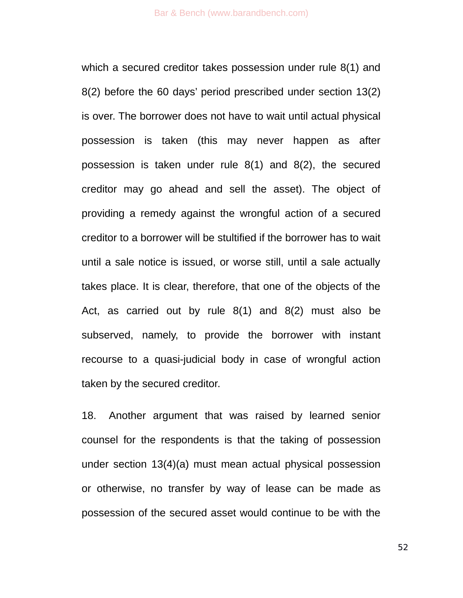which a secured creditor takes possession under rule 8(1) and 8(2) before the 60 days' period prescribed under section 13(2) is over. The borrower does not have to wait until actual physical possession is taken (this may never happen as after possession is taken under rule 8(1) and 8(2), the secured creditor may go ahead and sell the asset). The object of providing a remedy against the wrongful action of a secured creditor to a borrower will be stultified if the borrower has to wait until a sale notice is issued, or worse still, until a sale actually takes place. It is clear, therefore, that one of the objects of the Act, as carried out by rule 8(1) and 8(2) must also be subserved, namely, to provide the borrower with instant recourse to a quasi-judicial body in case of wrongful action taken by the secured creditor.

18. Another argument that was raised by learned senior counsel for the respondents is that the taking of possession under section 13(4)(a) must mean actual physical possession or otherwise, no transfer by way of lease can be made as possession of the secured asset would continue to be with the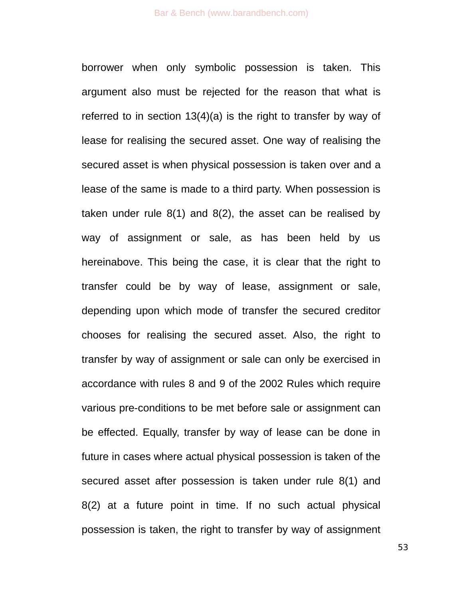borrower when only symbolic possession is taken. This argument also must be rejected for the reason that what is referred to in section 13(4)(a) is the right to transfer by way of lease for realising the secured asset. One way of realising the secured asset is when physical possession is taken over and a lease of the same is made to a third party. When possession is taken under rule 8(1) and 8(2), the asset can be realised by way of assignment or sale, as has been held by us hereinabove. This being the case, it is clear that the right to transfer could be by way of lease, assignment or sale, depending upon which mode of transfer the secured creditor chooses for realising the secured asset. Also, the right to transfer by way of assignment or sale can only be exercised in accordance with rules 8 and 9 of the 2002 Rules which require various pre-conditions to be met before sale or assignment can be effected. Equally, transfer by way of lease can be done in future in cases where actual physical possession is taken of the secured asset after possession is taken under rule 8(1) and 8(2) at a future point in time. If no such actual physical possession is taken, the right to transfer by way of assignment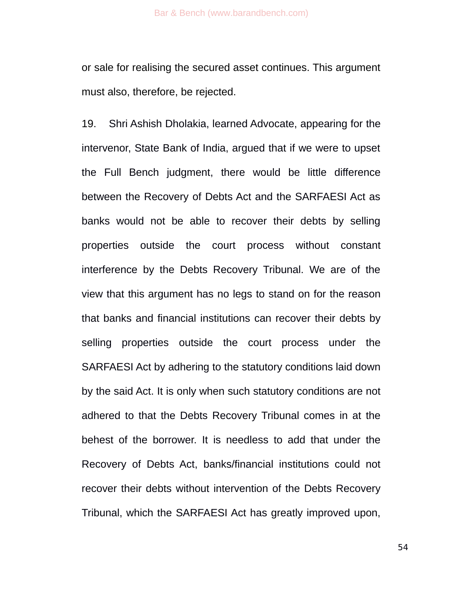or sale for realising the secured asset continues. This argument must also, therefore, be rejected.

19. Shri Ashish Dholakia, learned Advocate, appearing for the intervenor, State Bank of India, argued that if we were to upset the Full Bench judgment, there would be little difference between the Recovery of Debts Act and the SARFAESI Act as banks would not be able to recover their debts by selling properties outside the court process without constant interference by the Debts Recovery Tribunal. We are of the view that this argument has no legs to stand on for the reason that banks and financial institutions can recover their debts by selling properties outside the court process under the SARFAESI Act by adhering to the statutory conditions laid down by the said Act. It is only when such statutory conditions are not adhered to that the Debts Recovery Tribunal comes in at the behest of the borrower. It is needless to add that under the Recovery of Debts Act, banks/financial institutions could not recover their debts without intervention of the Debts Recovery Tribunal, which the SARFAESI Act has greatly improved upon,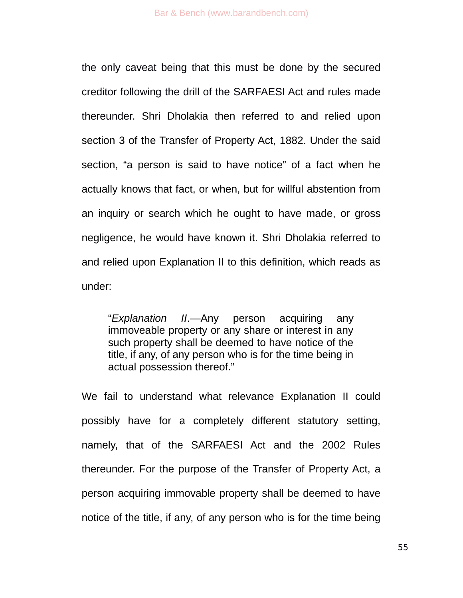the only caveat being that this must be done by the secured creditor following the drill of the SARFAESI Act and rules made thereunder. Shri Dholakia then referred to and relied upon section 3 of the Transfer of Property Act, 1882. Under the said section, "a person is said to have notice" of a fact when he actually knows that fact, or when, but for willful abstention from an inquiry or search which he ought to have made, or gross negligence, he would have known it. Shri Dholakia referred to and relied upon Explanation II to this definition, which reads as under:

"*Explanation II*.—Any person acquiring any immoveable property or any share or interest in any such property shall be deemed to have notice of the title, if any, of any person who is for the time being in actual possession thereof."

We fail to understand what relevance Explanation II could possibly have for a completely different statutory setting, namely, that of the SARFAESI Act and the 2002 Rules thereunder. For the purpose of the Transfer of Property Act, a person acquiring immovable property shall be deemed to have notice of the title, if any, of any person who is for the time being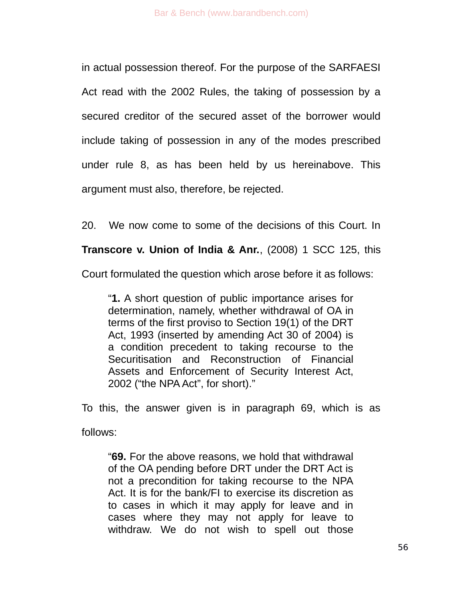in actual possession thereof. For the purpose of the SARFAESI Act read with the 2002 Rules, the taking of possession by a secured creditor of the secured asset of the borrower would include taking of possession in any of the modes prescribed under rule 8, as has been held by us hereinabove. This argument must also, therefore, be rejected.

20. We now come to some of the decisions of this Court. In

**Transcore v. Union of India & Anr.**, (2008) 1 SCC 125, this

Court formulated the question which arose before it as follows:

"**1.** A short question of public importance arises for determination, namely, whether withdrawal of OA in terms of the first proviso to Section 19(1) of the DRT Act, 1993 (inserted by amending Act 30 of 2004) is a condition precedent to taking recourse to the Securitisation and Reconstruction of Financial Assets and Enforcement of Security Interest Act, 2002 ("the NPA Act", for short)."

To this, the answer given is in paragraph 69, which is as follows:

"**69.** For the above reasons, we hold that withdrawal of the OA pending before DRT under the DRT Act is not a precondition for taking recourse to the NPA Act. It is for the bank/FI to exercise its discretion as to cases in which it may apply for leave and in cases where they may not apply for leave to withdraw. We do not wish to spell out those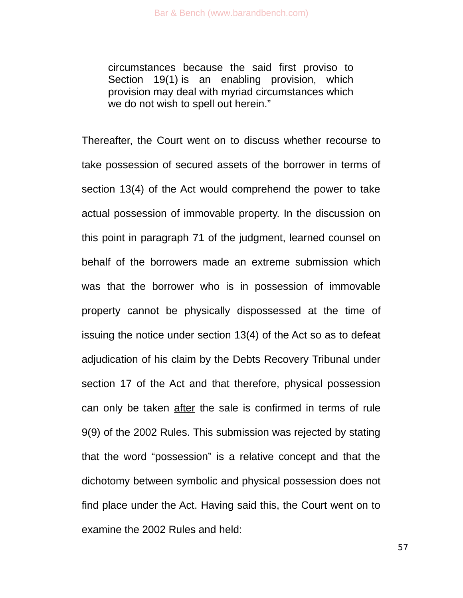circumstances because the said first proviso to Section 19(1) is an enabling provision, which provision may deal with myriad circumstances which we do not wish to spell out herein."

Thereafter, the Court went on to discuss whether recourse to take possession of secured assets of the borrower in terms of section 13(4) of the Act would comprehend the power to take actual possession of immovable property. In the discussion on this point in paragraph 71 of the judgment, learned counsel on behalf of the borrowers made an extreme submission which was that the borrower who is in possession of immovable property cannot be physically dispossessed at the time of issuing the notice under section 13(4) of the Act so as to defeat adjudication of his claim by the Debts Recovery Tribunal under section 17 of the Act and that therefore, physical possession can only be taken after the sale is confirmed in terms of rule 9(9) of the 2002 Rules. This submission was rejected by stating that the word "possession" is a relative concept and that the dichotomy between symbolic and physical possession does not find place under the Act. Having said this, the Court went on to examine the 2002 Rules and held: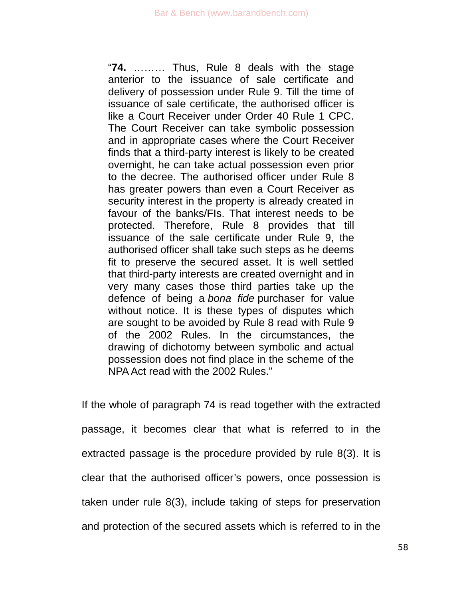"**74.** ……… Thus, Rule 8 deals with the stage anterior to the issuance of sale certificate and delivery of possession under Rule 9. Till the time of issuance of sale certificate, the authorised officer is like a Court Receiver under Order 40 Rule 1 CPC. The Court Receiver can take symbolic possession and in appropriate cases where the Court Receiver finds that a third-party interest is likely to be created overnight, he can take actual possession even prior to the decree. The authorised officer under Rule 8 has greater powers than even a Court Receiver as security interest in the property is already created in favour of the banks/FIs. That interest needs to be protected. Therefore, Rule 8 provides that till issuance of the sale certificate under Rule 9, the authorised officer shall take such steps as he deems fit to preserve the secured asset. It is well settled that third-party interests are created overnight and in very many cases those third parties take up the defence of being a *bona fide* purchaser for value without notice. It is these types of disputes which are sought to be avoided by Rule 8 read with Rule 9 of the 2002 Rules. In the circumstances, the drawing of dichotomy between symbolic and actual possession does not find place in the scheme of the NPA Act read with the 2002 Rules."

If the whole of paragraph 74 is read together with the extracted passage, it becomes clear that what is referred to in the extracted passage is the procedure provided by rule 8(3). It is clear that the authorised officer's powers, once possession is taken under rule 8(3), include taking of steps for preservation and protection of the secured assets which is referred to in the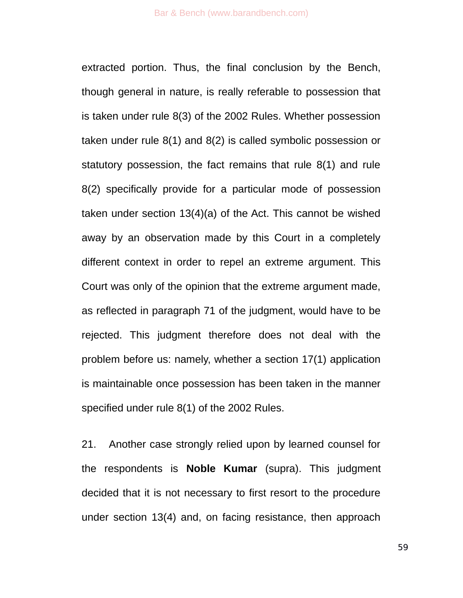extracted portion. Thus, the final conclusion by the Bench, though general in nature, is really referable to possession that is taken under rule 8(3) of the 2002 Rules. Whether possession taken under rule 8(1) and 8(2) is called symbolic possession or statutory possession, the fact remains that rule 8(1) and rule 8(2) specifically provide for a particular mode of possession taken under section 13(4)(a) of the Act. This cannot be wished away by an observation made by this Court in a completely different context in order to repel an extreme argument. This Court was only of the opinion that the extreme argument made, as reflected in paragraph 71 of the judgment, would have to be rejected. This judgment therefore does not deal with the problem before us: namely, whether a section 17(1) application is maintainable once possession has been taken in the manner specified under rule 8(1) of the 2002 Rules.

21. Another case strongly relied upon by learned counsel for the respondents is **Noble Kumar** (supra). This judgment decided that it is not necessary to first resort to the procedure under section 13(4) and, on facing resistance, then approach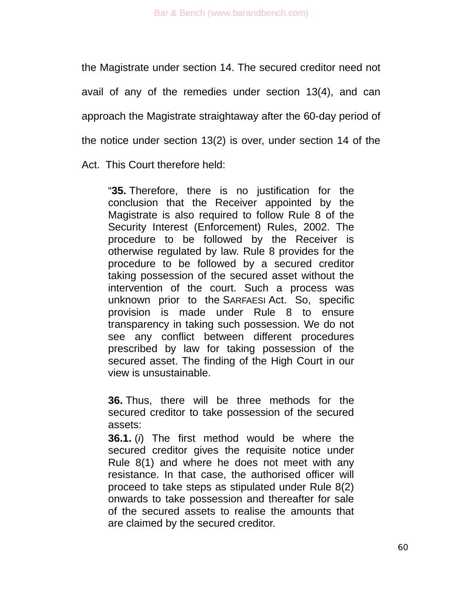the Magistrate under section 14. The secured creditor need not avail of any of the remedies under section 13(4), and can approach the Magistrate straightaway after the 60-day period of the notice under section 13(2) is over, under section 14 of the Act. This Court therefore held:

"**35.** Therefore, there is no justification for the conclusion that the Receiver appointed by the Magistrate is also required to follow Rule 8 of the Security Interest (Enforcement) Rules, 2002. The procedure to be followed by the Receiver is otherwise regulated by law. Rule 8 provides for the procedure to be followed by a secured creditor taking possession of the secured asset without the intervention of the court. Such a process was unknown prior to the SARFAESI Act. So, specific provision is made under Rule 8 to ensure transparency in taking such possession. We do not see any conflict between different procedures prescribed by law for taking possession of the secured asset. The finding of the High Court in our view is unsustainable.

**36.** Thus, there will be three methods for the secured creditor to take possession of the secured assets:

**36.1.** (*i*) The first method would be where the secured creditor gives the requisite notice under Rule 8(1) and where he does not meet with any resistance. In that case, the authorised officer will proceed to take steps as stipulated under Rule 8(2) onwards to take possession and thereafter for sale of the secured assets to realise the amounts that are claimed by the secured creditor.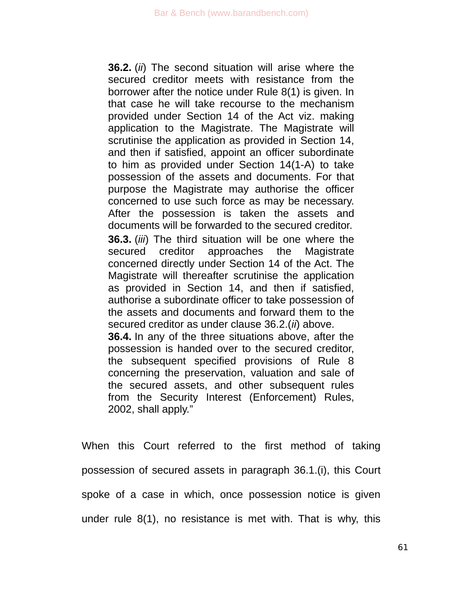**36.2.** (*ii*) The second situation will arise where the secured creditor meets with resistance from the borrower after the notice under Rule 8(1) is given. In that case he will take recourse to the mechanism provided under Section 14 of the Act viz. making application to the Magistrate. The Magistrate will scrutinise the application as provided in Section 14, and then if satisfied, appoint an officer subordinate to him as provided under Section 14(1-A) to take possession of the assets and documents. For that purpose the Magistrate may authorise the officer concerned to use such force as may be necessary. After the possession is taken the assets and documents will be forwarded to the secured creditor. **36.3.** (*iii*) The third situation will be one where the secured creditor approaches the Magistrate concerned directly under Section 14 of the Act. The Magistrate will thereafter scrutinise the application as provided in Section 14, and then if satisfied, authorise a subordinate officer to take possession of the assets and documents and forward them to the secured creditor as under clause 36.2.(*ii*) above. **36.4.** In any of the three situations above, after the possession is handed over to the secured creditor, the subsequent specified provisions of Rule 8 concerning the preservation, valuation and sale of the secured assets, and other subsequent rules from the Security Interest (Enforcement) Rules,

2002, shall apply."

When this Court referred to the first method of taking possession of secured assets in paragraph 36.1.(i), this Court spoke of a case in which, once possession notice is given under rule 8(1), no resistance is met with. That is why, this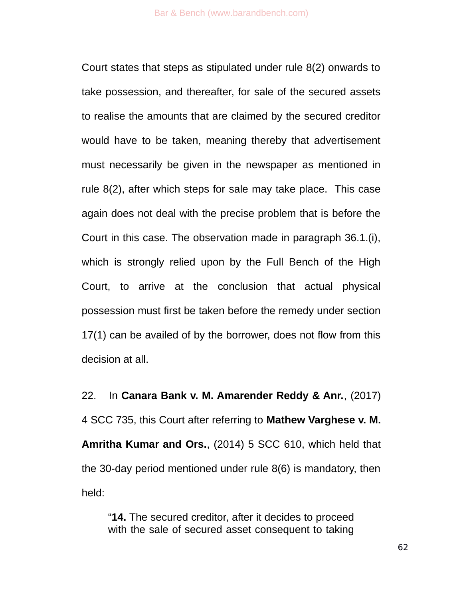Court states that steps as stipulated under rule 8(2) onwards to take possession, and thereafter, for sale of the secured assets to realise the amounts that are claimed by the secured creditor would have to be taken, meaning thereby that advertisement must necessarily be given in the newspaper as mentioned in rule 8(2), after which steps for sale may take place. This case again does not deal with the precise problem that is before the Court in this case. The observation made in paragraph 36.1.(i), which is strongly relied upon by the Full Bench of the High Court, to arrive at the conclusion that actual physical possession must first be taken before the remedy under section 17(1) can be availed of by the borrower, does not flow from this decision at all.

22. In **Canara Bank v. M. Amarender Reddy & Anr.**, (2017) 4 SCC 735, this Court after referring to **Mathew Varghese v. M. Amritha Kumar and Ors.**, (2014) 5 SCC 610, which held that the 30-day period mentioned under rule 8(6) is mandatory, then held:

"**14.** The secured creditor, after it decides to proceed with the sale of secured asset consequent to taking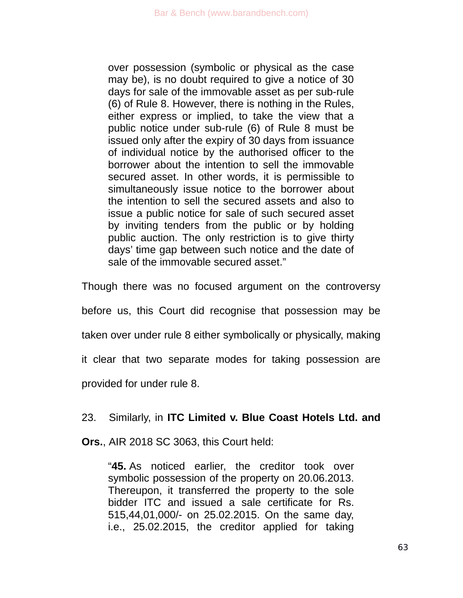over possession (symbolic or physical as the case may be), is no doubt required to give a notice of 30 days for sale of the immovable asset as per sub-rule (6) of Rule 8. However, there is nothing in the Rules, either express or implied, to take the view that a public notice under sub-rule (6) of Rule 8 must be issued only after the expiry of 30 days from issuance of individual notice by the authorised officer to the borrower about the intention to sell the immovable secured asset. In other words, it is permissible to simultaneously issue notice to the borrower about the intention to sell the secured assets and also to issue a public notice for sale of such secured asset by inviting tenders from the public or by holding public auction. The only restriction is to give thirty days' time gap between such notice and the date of sale of the immovable secured asset."

Though there was no focused argument on the controversy

before us, this Court did recognise that possession may be

taken over under rule 8 either symbolically or physically, making

it clear that two separate modes for taking possession are

provided for under rule 8.

## 23. Similarly, in **ITC Limited v. Blue Coast Hotels Ltd. and**

**Ors.**, AIR 2018 SC 3063, this Court held:

"**45.** As noticed earlier, the creditor took over symbolic possession of the property on 20.06.2013. Thereupon, it transferred the property to the sole bidder ITC and issued a sale certificate for Rs. 515,44,01,000/- on 25.02.2015. On the same day, i.e., 25.02.2015, the creditor applied for taking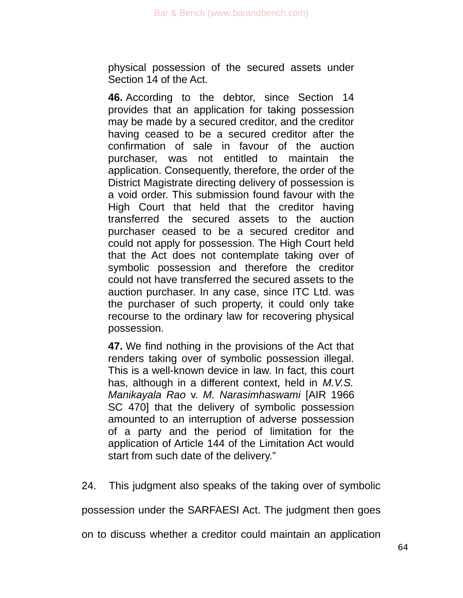physical possession of the secured assets under Section 14 of the Act.

**46.** According to the debtor, since Section 14 provides that an application for taking possession may be made by a secured creditor, and the creditor having ceased to be a secured creditor after the confirmation of sale in favour of the auction purchaser, was not entitled to maintain the application. Consequently, therefore, the order of the District Magistrate directing delivery of possession is a void order. This submission found favour with the High Court that held that the creditor having transferred the secured assets to the auction purchaser ceased to be a secured creditor and could not apply for possession. The High Court held that the Act does not contemplate taking over of symbolic possession and therefore the creditor could not have transferred the secured assets to the auction purchaser. In any case, since ITC Ltd. was the purchaser of such property, it could only take recourse to the ordinary law for recovering physical possession.

**47.** We find nothing in the provisions of the Act that renders taking over of symbolic possession illegal. This is a well-known device in law. In fact, this court has, although in a different context, held in *M.V.S. Manikayala Rao* v. *M. Narasimhaswami* [AIR 1966 SC 470] that the delivery of symbolic possession amounted to an interruption of adverse possession of a party and the period of limitation for the application of Article 144 of the Limitation Act would start from such date of the delivery."

24. This judgment also speaks of the taking over of symbolic

possession under the SARFAESI Act. The judgment then goes

on to discuss whether a creditor could maintain an application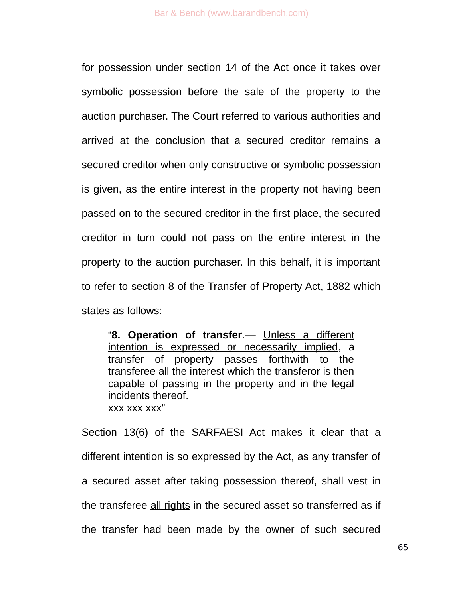for possession under section 14 of the Act once it takes over symbolic possession before the sale of the property to the auction purchaser. The Court referred to various authorities and arrived at the conclusion that a secured creditor remains a secured creditor when only constructive or symbolic possession is given, as the entire interest in the property not having been passed on to the secured creditor in the first place, the secured creditor in turn could not pass on the entire interest in the property to the auction purchaser. In this behalf, it is important to refer to section 8 of the Transfer of Property Act, 1882 which states as follows:

"**8. Operation of transfer**.— Unless a different intention is expressed or necessarily implied, a transfer of property passes forthwith to the transferee all the interest which the transferor is then capable of passing in the property and in the legal incidents thereof. xxx xxx xxx"

Section 13(6) of the SARFAESI Act makes it clear that a different intention is so expressed by the Act, as any transfer of a secured asset after taking possession thereof, shall vest in the transferee all rights in the secured asset so transferred as if the transfer had been made by the owner of such secured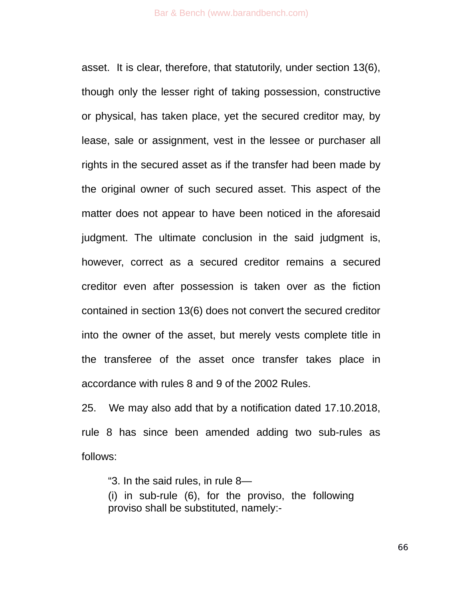asset. It is clear, therefore, that statutorily, under section 13(6), though only the lesser right of taking possession, constructive or physical, has taken place, yet the secured creditor may, by lease, sale or assignment, vest in the lessee or purchaser all rights in the secured asset as if the transfer had been made by the original owner of such secured asset. This aspect of the matter does not appear to have been noticed in the aforesaid judgment. The ultimate conclusion in the said judgment is, however, correct as a secured creditor remains a secured creditor even after possession is taken over as the fiction contained in section 13(6) does not convert the secured creditor into the owner of the asset, but merely vests complete title in the transferee of the asset once transfer takes place in accordance with rules 8 and 9 of the 2002 Rules.

25. We may also add that by a notification dated 17.10.2018, rule 8 has since been amended adding two sub-rules as follows:

"3. In the said rules, in rule 8—

(i) in sub-rule (6), for the proviso, the following proviso shall be substituted, namely:-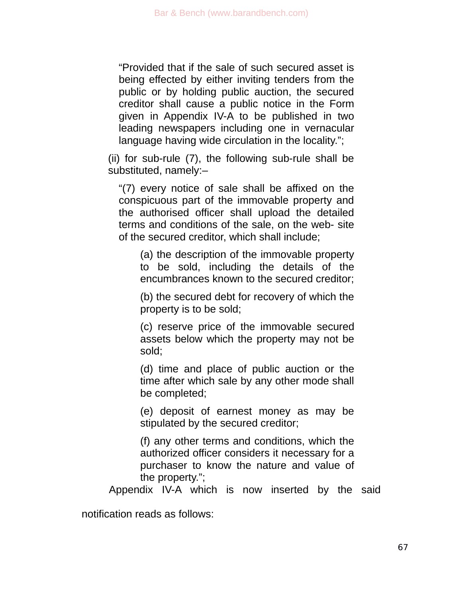"Provided that if the sale of such secured asset is being effected by either inviting tenders from the public or by holding public auction, the secured creditor shall cause a public notice in the Form given in Appendix IV-A to be published in two leading newspapers including one in vernacular language having wide circulation in the locality.";

(ii) for sub-rule (7), the following sub-rule shall be substituted, namely:–

"(7) every notice of sale shall be affixed on the conspicuous part of the immovable property and the authorised officer shall upload the detailed terms and conditions of the sale, on the web- site of the secured creditor, which shall include;

(a) the description of the immovable property to be sold, including the details of the encumbrances known to the secured creditor;

(b) the secured debt for recovery of which the property is to be sold;

(c) reserve price of the immovable secured assets below which the property may not be sold;

(d) time and place of public auction or the time after which sale by any other mode shall be completed;

(e) deposit of earnest money as may be stipulated by the secured creditor;

(f) any other terms and conditions, which the authorized officer considers it necessary for a purchaser to know the nature and value of the property.";

Appendix IV-A which is now inserted by the said

notification reads as follows: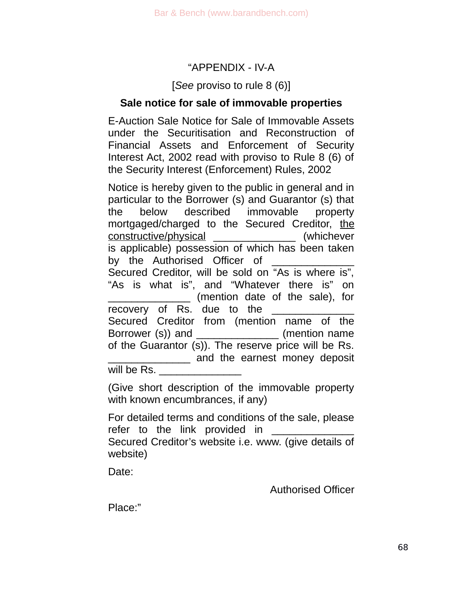## "APPENDIX - IV-A

### [*See* proviso to rule 8 (6)]

## **Sale notice for sale of immovable properties**

E-Auction Sale Notice for Sale of Immovable Assets under the Securitisation and Reconstruction of Financial Assets and Enforcement of Security Interest Act, 2002 read with proviso to Rule 8 (6) of the Security Interest (Enforcement) Rules, 2002

Notice is hereby given to the public in general and in particular to the Borrower (s) and Guarantor (s) that the below described immovable property mortgaged/charged to the Secured Creditor, the constructive/physical \_\_\_\_\_\_\_\_\_\_\_\_\_\_ (whichever is applicable) possession of which has been taken by the Authorised Officer of Secured Creditor, will be sold on "As is where is", "As is what is", and "Whatever there is" on \_\_\_\_\_\_\_\_\_\_\_\_\_\_ (mention date of the sale), for recovery of Rs. due to the Secured Creditor from (mention name of the Borrower (s)) and \_\_\_\_\_\_\_\_\_\_\_\_\_\_\_\_ (mention name of the Guarantor (s)). The reserve price will be Rs. **EXECUTE:** and the earnest money deposit will be Rs.

(Give short description of the immovable property with known encumbrances, if any)

For detailed terms and conditions of the sale, please refer to the link provided in Secured Creditor's website i.e. www. (give details of website)

Date:

Authorised Officer

Place:"